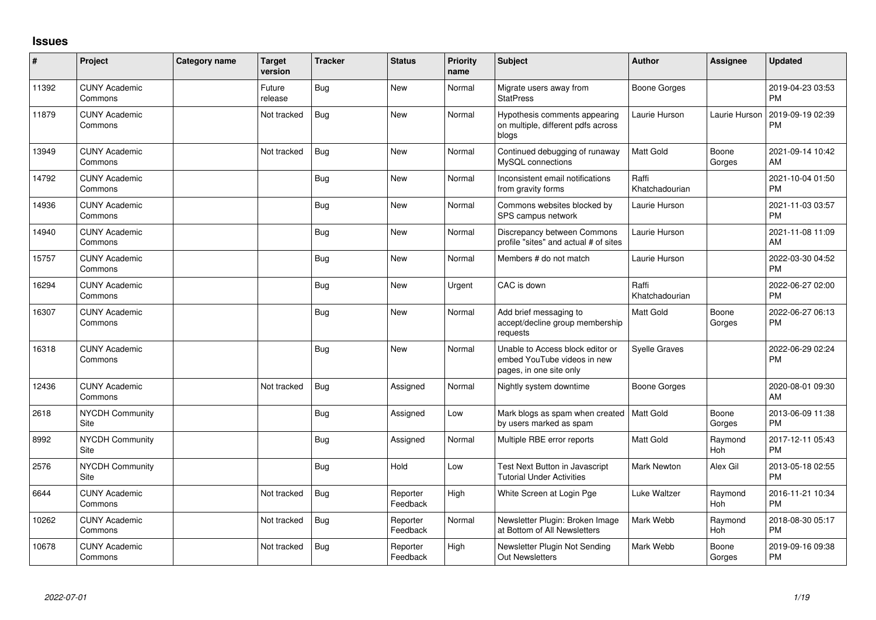## **Issues**

| #     | Project                         | Category name | <b>Target</b><br>version | <b>Tracker</b> | <b>Status</b>        | <b>Priority</b><br>name | Subject                                                                                    | <b>Author</b>           | Assignee              | <b>Updated</b>                |
|-------|---------------------------------|---------------|--------------------------|----------------|----------------------|-------------------------|--------------------------------------------------------------------------------------------|-------------------------|-----------------------|-------------------------------|
| 11392 | <b>CUNY Academic</b><br>Commons |               | Future<br>release        | Bug            | New                  | Normal                  | Migrate users away from<br><b>StatPress</b>                                                | <b>Boone Gorges</b>     |                       | 2019-04-23 03:53<br><b>PM</b> |
| 11879 | <b>CUNY Academic</b><br>Commons |               | Not tracked              | Bug            | <b>New</b>           | Normal                  | Hypothesis comments appearing<br>on multiple, different pdfs across<br>blogs               | Laurie Hurson           | Laurie Hurson         | 2019-09-19 02:39<br><b>PM</b> |
| 13949 | <b>CUNY Academic</b><br>Commons |               | Not tracked              | Bug            | <b>New</b>           | Normal                  | Continued debugging of runaway<br>MySQL connections                                        | Matt Gold               | Boone<br>Gorges       | 2021-09-14 10:42<br>AM        |
| 14792 | <b>CUNY Academic</b><br>Commons |               |                          | Bug            | New                  | Normal                  | Inconsistent email notifications<br>from gravity forms                                     | Raffi<br>Khatchadourian |                       | 2021-10-04 01:50<br><b>PM</b> |
| 14936 | CUNY Academic<br>Commons        |               |                          | Bug            | <b>New</b>           | Normal                  | Commons websites blocked by<br>SPS campus network                                          | Laurie Hurson           |                       | 2021-11-03 03:57<br><b>PM</b> |
| 14940 | <b>CUNY Academic</b><br>Commons |               |                          | <b>Bug</b>     | <b>New</b>           | Normal                  | Discrepancy between Commons<br>profile "sites" and actual # of sites                       | Laurie Hurson           |                       | 2021-11-08 11:09<br>AM        |
| 15757 | <b>CUNY Academic</b><br>Commons |               |                          | <b>Bug</b>     | <b>New</b>           | Normal                  | Members # do not match                                                                     | Laurie Hurson           |                       | 2022-03-30 04:52<br><b>PM</b> |
| 16294 | <b>CUNY Academic</b><br>Commons |               |                          | <b>Bug</b>     | <b>New</b>           | Urgent                  | CAC is down                                                                                | Raffi<br>Khatchadourian |                       | 2022-06-27 02:00<br><b>PM</b> |
| 16307 | <b>CUNY Academic</b><br>Commons |               |                          | Bug            | New                  | Normal                  | Add brief messaging to<br>accept/decline group membership<br>requests                      | Matt Gold               | Boone<br>Gorges       | 2022-06-27 06:13<br><b>PM</b> |
| 16318 | <b>CUNY Academic</b><br>Commons |               |                          | Bug            | <b>New</b>           | Normal                  | Unable to Access block editor or<br>embed YouTube videos in new<br>pages, in one site only | <b>Syelle Graves</b>    |                       | 2022-06-29 02:24<br><b>PM</b> |
| 12436 | <b>CUNY Academic</b><br>Commons |               | Not tracked              | Bug            | Assigned             | Normal                  | Nightly system downtime                                                                    | <b>Boone Gorges</b>     |                       | 2020-08-01 09:30<br>AM        |
| 2618  | NYCDH Community<br>Site         |               |                          | Bug            | Assigned             | Low                     | Mark blogs as spam when created<br>by users marked as spam                                 | Matt Gold               | Boone<br>Gorges       | 2013-06-09 11:38<br><b>PM</b> |
| 8992  | NYCDH Community<br>Site         |               |                          | <b>Bug</b>     | Assigned             | Normal                  | Multiple RBE error reports                                                                 | Matt Gold               | Raymond<br><b>Hoh</b> | 2017-12-11 05:43<br><b>PM</b> |
| 2576  | NYCDH Community<br><b>Site</b>  |               |                          | Bug            | Hold                 | Low                     | Test Next Button in Javascript<br><b>Tutorial Under Activities</b>                         | <b>Mark Newton</b>      | Alex Gil              | 2013-05-18 02:55<br><b>PM</b> |
| 6644  | <b>CUNY Academic</b><br>Commons |               | Not tracked              | <b>Bug</b>     | Reporter<br>Feedback | High                    | White Screen at Login Pge                                                                  | Luke Waltzer            | Raymond<br>Hoh        | 2016-11-21 10:34<br><b>PM</b> |
| 10262 | <b>CUNY Academic</b><br>Commons |               | Not tracked              | <b>Bug</b>     | Reporter<br>Feedback | Normal                  | Newsletter Plugin: Broken Image<br>at Bottom of All Newsletters                            | Mark Webb               | Raymond<br>Hoh        | 2018-08-30 05:17<br><b>PM</b> |
| 10678 | <b>CUNY Academic</b><br>Commons |               | Not tracked              | <b>Bug</b>     | Reporter<br>Feedback | High                    | Newsletter Plugin Not Sending<br>Out Newsletters                                           | Mark Webb               | Boone<br>Gorges       | 2019-09-16 09:38<br><b>PM</b> |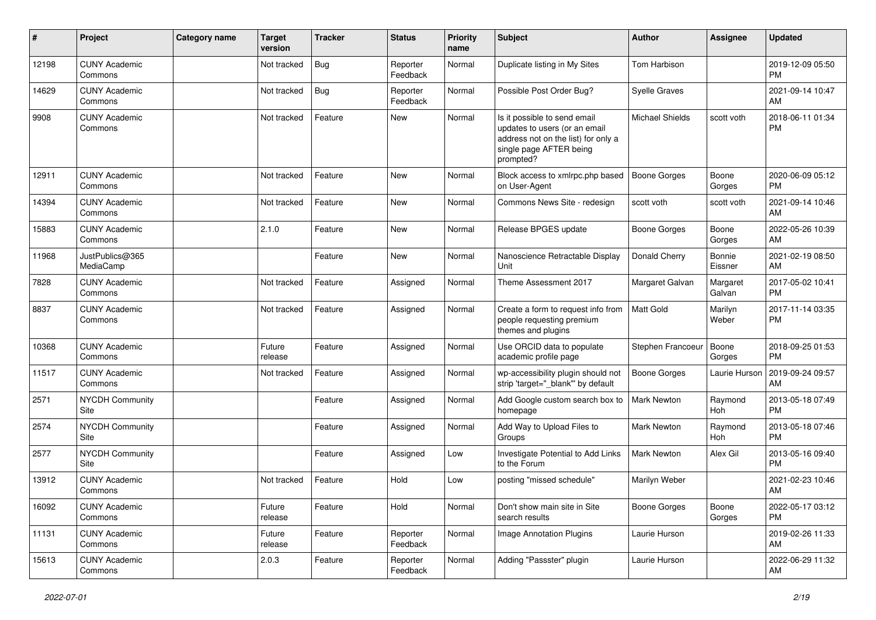| ∦     | Project                         | <b>Category name</b> | <b>Target</b><br>version | <b>Tracker</b> | <b>Status</b>        | <b>Priority</b><br>name | <b>Subject</b>                                                                                                                               | <b>Author</b>          | <b>Assignee</b>    | <b>Updated</b>                |
|-------|---------------------------------|----------------------|--------------------------|----------------|----------------------|-------------------------|----------------------------------------------------------------------------------------------------------------------------------------------|------------------------|--------------------|-------------------------------|
| 12198 | <b>CUNY Academic</b><br>Commons |                      | Not tracked              | <b>Bug</b>     | Reporter<br>Feedback | Normal                  | Duplicate listing in My Sites                                                                                                                | Tom Harbison           |                    | 2019-12-09 05:50<br><b>PM</b> |
| 14629 | <b>CUNY Academic</b><br>Commons |                      | Not tracked              | <b>Bug</b>     | Reporter<br>Feedback | Normal                  | Possible Post Order Bug?                                                                                                                     | <b>Syelle Graves</b>   |                    | 2021-09-14 10:47<br>AM        |
| 9908  | <b>CUNY Academic</b><br>Commons |                      | Not tracked              | Feature        | <b>New</b>           | Normal                  | Is it possible to send email<br>updates to users (or an email<br>address not on the list) for only a<br>single page AFTER being<br>prompted? | <b>Michael Shields</b> | scott voth         | 2018-06-11 01:34<br><b>PM</b> |
| 12911 | <b>CUNY Academic</b><br>Commons |                      | Not tracked              | Feature        | <b>New</b>           | Normal                  | Block access to xmlrpc.php based<br>on User-Agent                                                                                            | <b>Boone Gorges</b>    | Boone<br>Gorges    | 2020-06-09 05:12<br><b>PM</b> |
| 14394 | <b>CUNY Academic</b><br>Commons |                      | Not tracked              | Feature        | <b>New</b>           | Normal                  | Commons News Site - redesign                                                                                                                 | scott voth             | scott voth         | 2021-09-14 10:46<br>AM        |
| 15883 | <b>CUNY Academic</b><br>Commons |                      | 2.1.0                    | Feature        | New                  | Normal                  | Release BPGES update                                                                                                                         | <b>Boone Gorges</b>    | Boone<br>Gorges    | 2022-05-26 10:39<br>AM        |
| 11968 | JustPublics@365<br>MediaCamp    |                      |                          | Feature        | <b>New</b>           | Normal                  | Nanoscience Retractable Display<br>Unit                                                                                                      | Donald Cherry          | Bonnie<br>Eissner  | 2021-02-19 08:50<br>AM        |
| 7828  | <b>CUNY Academic</b><br>Commons |                      | Not tracked              | Feature        | Assigned             | Normal                  | Theme Assessment 2017                                                                                                                        | Margaret Galvan        | Margaret<br>Galvan | 2017-05-02 10:41<br><b>PM</b> |
| 8837  | <b>CUNY Academic</b><br>Commons |                      | Not tracked              | Feature        | Assigned             | Normal                  | Create a form to request info from<br>people requesting premium<br>themes and plugins                                                        | <b>Matt Gold</b>       | Marilyn<br>Weber   | 2017-11-14 03:35<br><b>PM</b> |
| 10368 | <b>CUNY Academic</b><br>Commons |                      | Future<br>release        | Feature        | Assigned             | Normal                  | Use ORCID data to populate<br>academic profile page                                                                                          | Stephen Francoeur      | Boone<br>Gorges    | 2018-09-25 01:53<br><b>PM</b> |
| 11517 | <b>CUNY Academic</b><br>Commons |                      | Not tracked              | Feature        | Assigned             | Normal                  | wp-accessibility plugin should not<br>strip 'target=" blank" by default                                                                      | <b>Boone Gorges</b>    | Laurie Hurson      | 2019-09-24 09:57<br>AM        |
| 2571  | <b>NYCDH Community</b><br>Site  |                      |                          | Feature        | Assigned             | Normal                  | Add Google custom search box to<br>homepage                                                                                                  | Mark Newton            | Raymond<br>Hoh     | 2013-05-18 07:49<br><b>PM</b> |
| 2574  | <b>NYCDH Community</b><br>Site  |                      |                          | Feature        | Assigned             | Normal                  | Add Way to Upload Files to<br>Groups                                                                                                         | Mark Newton            | Raymond<br>Hoh     | 2013-05-18 07:46<br><b>PM</b> |
| 2577  | <b>NYCDH Community</b><br>Site  |                      |                          | Feature        | Assigned             | Low                     | Investigate Potential to Add Links<br>to the Forum                                                                                           | Mark Newton            | Alex Gil           | 2013-05-16 09:40<br><b>PM</b> |
| 13912 | <b>CUNY Academic</b><br>Commons |                      | Not tracked              | Feature        | Hold                 | Low                     | posting "missed schedule"                                                                                                                    | Marilyn Weber          |                    | 2021-02-23 10:46<br>AM        |
| 16092 | <b>CUNY Academic</b><br>Commons |                      | Future<br>release        | Feature        | Hold                 | Normal                  | Don't show main site in Site<br>search results                                                                                               | <b>Boone Gorges</b>    | Boone<br>Gorges    | 2022-05-17 03:12<br><b>PM</b> |
| 11131 | <b>CUNY Academic</b><br>Commons |                      | Future<br>release        | Feature        | Reporter<br>Feedback | Normal                  | Image Annotation Plugins                                                                                                                     | Laurie Hurson          |                    | 2019-02-26 11:33<br>AM        |
| 15613 | <b>CUNY Academic</b><br>Commons |                      | 2.0.3                    | Feature        | Reporter<br>Feedback | Normal                  | Adding "Passster" plugin                                                                                                                     | Laurie Hurson          |                    | 2022-06-29 11:32<br>AM        |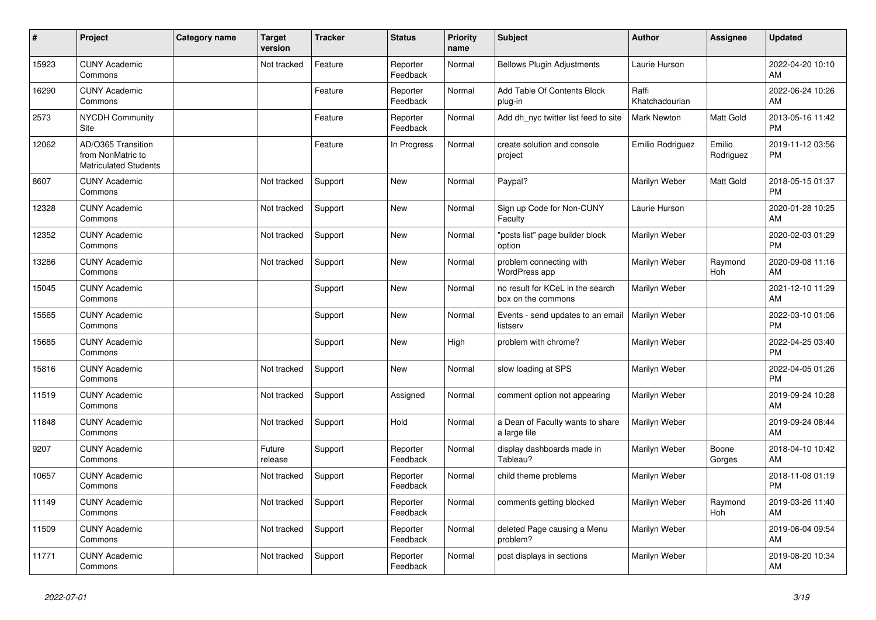| #     | Project                                                                 | Category name | <b>Target</b><br>version | <b>Tracker</b> | <b>Status</b>        | <b>Priority</b><br>name | <b>Subject</b>                                         | <b>Author</b>           | Assignee            | <b>Updated</b>                |
|-------|-------------------------------------------------------------------------|---------------|--------------------------|----------------|----------------------|-------------------------|--------------------------------------------------------|-------------------------|---------------------|-------------------------------|
| 15923 | <b>CUNY Academic</b><br>Commons                                         |               | Not tracked              | Feature        | Reporter<br>Feedback | Normal                  | <b>Bellows Plugin Adjustments</b>                      | Laurie Hurson           |                     | 2022-04-20 10:10<br>AM        |
| 16290 | <b>CUNY Academic</b><br>Commons                                         |               |                          | Feature        | Reporter<br>Feedback | Normal                  | Add Table Of Contents Block<br>plug-in                 | Raffi<br>Khatchadourian |                     | 2022-06-24 10:26<br>AM        |
| 2573  | <b>NYCDH Community</b><br>Site                                          |               |                          | Feature        | Reporter<br>Feedback | Normal                  | Add dh_nyc twitter list feed to site                   | <b>Mark Newton</b>      | Matt Gold           | 2013-05-16 11:42<br><b>PM</b> |
| 12062 | AD/O365 Transition<br>from NonMatric to<br><b>Matriculated Students</b> |               |                          | Feature        | In Progress          | Normal                  | create solution and console<br>project                 | Emilio Rodriguez        | Emilio<br>Rodriguez | 2019-11-12 03:56<br><b>PM</b> |
| 8607  | <b>CUNY Academic</b><br>Commons                                         |               | Not tracked              | Support        | New                  | Normal                  | Paypal?                                                | Marilyn Weber           | Matt Gold           | 2018-05-15 01:37<br><b>PM</b> |
| 12328 | <b>CUNY Academic</b><br>Commons                                         |               | Not tracked              | Support        | <b>New</b>           | Normal                  | Sign up Code for Non-CUNY<br>Faculty                   | Laurie Hurson           |                     | 2020-01-28 10:25<br>AM        |
| 12352 | <b>CUNY Academic</b><br>Commons                                         |               | Not tracked              | Support        | New                  | Normal                  | "posts list" page builder block<br>option              | Marilyn Weber           |                     | 2020-02-03 01:29<br><b>PM</b> |
| 13286 | <b>CUNY Academic</b><br>Commons                                         |               | Not tracked              | Support        | <b>New</b>           | Normal                  | problem connecting with<br>WordPress app               | Marilyn Weber           | Raymond<br>Hoh      | 2020-09-08 11:16<br>AM        |
| 15045 | <b>CUNY Academic</b><br>Commons                                         |               |                          | Support        | <b>New</b>           | Normal                  | no result for KCeL in the search<br>box on the commons | Marilyn Weber           |                     | 2021-12-10 11:29<br>AM        |
| 15565 | <b>CUNY Academic</b><br>Commons                                         |               |                          | Support        | New                  | Normal                  | Events - send updates to an email<br>listserv          | Marilyn Weber           |                     | 2022-03-10 01:06<br><b>PM</b> |
| 15685 | <b>CUNY Academic</b><br>Commons                                         |               |                          | Support        | New                  | High                    | problem with chrome?                                   | Marilyn Weber           |                     | 2022-04-25 03:40<br><b>PM</b> |
| 15816 | <b>CUNY Academic</b><br>Commons                                         |               | Not tracked              | Support        | <b>New</b>           | Normal                  | slow loading at SPS                                    | Marilyn Weber           |                     | 2022-04-05 01:26<br><b>PM</b> |
| 11519 | <b>CUNY Academic</b><br>Commons                                         |               | Not tracked              | Support        | Assigned             | Normal                  | comment option not appearing                           | Marilyn Weber           |                     | 2019-09-24 10:28<br>AM        |
| 11848 | <b>CUNY Academic</b><br>Commons                                         |               | Not tracked              | Support        | Hold                 | Normal                  | a Dean of Faculty wants to share<br>a large file       | Marilyn Weber           |                     | 2019-09-24 08:44<br>AM        |
| 9207  | <b>CUNY Academic</b><br>Commons                                         |               | Future<br>release        | Support        | Reporter<br>Feedback | Normal                  | display dashboards made in<br>Tableau?                 | Marilyn Weber           | Boone<br>Gorges     | 2018-04-10 10:42<br>AM        |
| 10657 | <b>CUNY Academic</b><br>Commons                                         |               | Not tracked              | Support        | Reporter<br>Feedback | Normal                  | child theme problems                                   | Marilyn Weber           |                     | 2018-11-08 01:19<br><b>PM</b> |
| 11149 | <b>CUNY Academic</b><br>Commons                                         |               | Not tracked              | Support        | Reporter<br>Feedback | Normal                  | comments getting blocked                               | Marilyn Weber           | Raymond<br>Hoh      | 2019-03-26 11:40<br>AM        |
| 11509 | <b>CUNY Academic</b><br>Commons                                         |               | Not tracked              | Support        | Reporter<br>Feedback | Normal                  | deleted Page causing a Menu<br>problem?                | Marilyn Weber           |                     | 2019-06-04 09:54<br>AM        |
| 11771 | <b>CUNY Academic</b><br>Commons                                         |               | Not tracked              | Support        | Reporter<br>Feedback | Normal                  | post displays in sections                              | Marilyn Weber           |                     | 2019-08-20 10:34<br>AM        |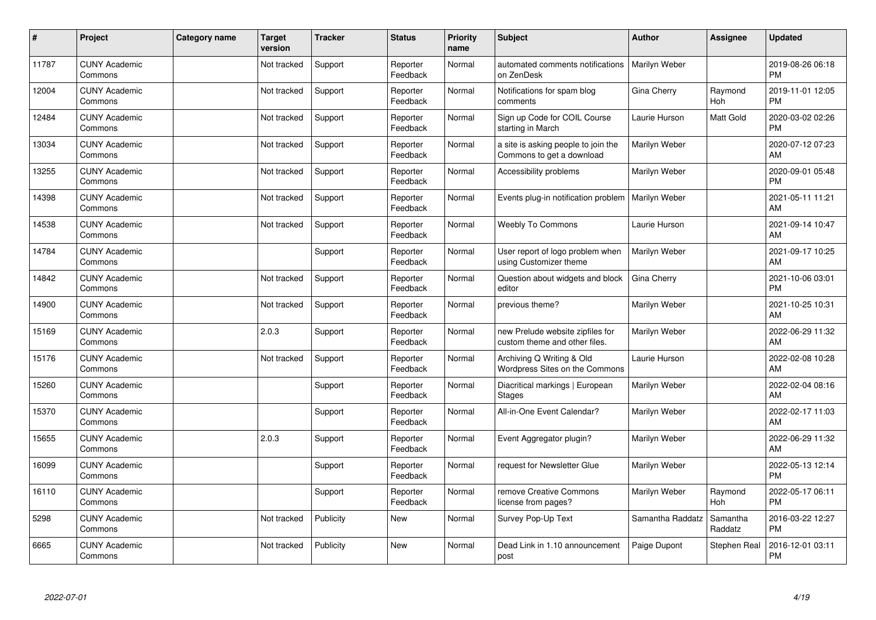| ∦     | Project                         | <b>Category name</b> | <b>Target</b><br>version | <b>Tracker</b> | <b>Status</b>        | <b>Priority</b><br>name | <b>Subject</b>                                                    | <b>Author</b>    | Assignee            | <b>Updated</b>                |
|-------|---------------------------------|----------------------|--------------------------|----------------|----------------------|-------------------------|-------------------------------------------------------------------|------------------|---------------------|-------------------------------|
| 11787 | <b>CUNY Academic</b><br>Commons |                      | Not tracked              | Support        | Reporter<br>Feedback | Normal                  | automated comments notifications<br>on ZenDesk                    | Marilyn Weber    |                     | 2019-08-26 06:18<br><b>PM</b> |
| 12004 | <b>CUNY Academic</b><br>Commons |                      | Not tracked              | Support        | Reporter<br>Feedback | Normal                  | Notifications for spam blog<br>comments                           | Gina Cherry      | Raymond<br>Hoh      | 2019-11-01 12:05<br><b>PM</b> |
| 12484 | <b>CUNY Academic</b><br>Commons |                      | Not tracked              | Support        | Reporter<br>Feedback | Normal                  | Sign up Code for COIL Course<br>starting in March                 | Laurie Hurson    | Matt Gold           | 2020-03-02 02:26<br><b>PM</b> |
| 13034 | <b>CUNY Academic</b><br>Commons |                      | Not tracked              | Support        | Reporter<br>Feedback | Normal                  | a site is asking people to join the<br>Commons to get a download  | Marilyn Weber    |                     | 2020-07-12 07:23<br>AM        |
| 13255 | <b>CUNY Academic</b><br>Commons |                      | Not tracked              | Support        | Reporter<br>Feedback | Normal                  | Accessibility problems                                            | Marilyn Weber    |                     | 2020-09-01 05:48<br><b>PM</b> |
| 14398 | <b>CUNY Academic</b><br>Commons |                      | Not tracked              | Support        | Reporter<br>Feedback | Normal                  | Events plug-in notification problem                               | Marilyn Weber    |                     | 2021-05-11 11:21<br>AM        |
| 14538 | <b>CUNY Academic</b><br>Commons |                      | Not tracked              | Support        | Reporter<br>Feedback | Normal                  | <b>Weebly To Commons</b>                                          | Laurie Hurson    |                     | 2021-09-14 10:47<br>AM        |
| 14784 | <b>CUNY Academic</b><br>Commons |                      |                          | Support        | Reporter<br>Feedback | Normal                  | User report of logo problem when<br>using Customizer theme        | Marilyn Weber    |                     | 2021-09-17 10:25<br>AM        |
| 14842 | <b>CUNY Academic</b><br>Commons |                      | Not tracked              | Support        | Reporter<br>Feedback | Normal                  | Question about widgets and block<br>editor                        | Gina Cherry      |                     | 2021-10-06 03:01<br><b>PM</b> |
| 14900 | <b>CUNY Academic</b><br>Commons |                      | Not tracked              | Support        | Reporter<br>Feedback | Normal                  | previous theme?                                                   | Marilyn Weber    |                     | 2021-10-25 10:31<br>AM        |
| 15169 | <b>CUNY Academic</b><br>Commons |                      | 2.0.3                    | Support        | Reporter<br>Feedback | Normal                  | new Prelude website zipfiles for<br>custom theme and other files. | Marilyn Weber    |                     | 2022-06-29 11:32<br>AM        |
| 15176 | <b>CUNY Academic</b><br>Commons |                      | Not tracked              | Support        | Reporter<br>Feedback | Normal                  | Archiving Q Writing & Old<br>Wordpress Sites on the Commons       | Laurie Hurson    |                     | 2022-02-08 10:28<br>AM        |
| 15260 | <b>CUNY Academic</b><br>Commons |                      |                          | Support        | Reporter<br>Feedback | Normal                  | Diacritical markings   European<br><b>Stages</b>                  | Marilyn Weber    |                     | 2022-02-04 08:16<br>AM        |
| 15370 | <b>CUNY Academic</b><br>Commons |                      |                          | Support        | Reporter<br>Feedback | Normal                  | All-in-One Event Calendar?                                        | Marilyn Weber    |                     | 2022-02-17 11:03<br>AM        |
| 15655 | <b>CUNY Academic</b><br>Commons |                      | 2.0.3                    | Support        | Reporter<br>Feedback | Normal                  | Event Aggregator plugin?                                          | Marilyn Weber    |                     | 2022-06-29 11:32<br>AM        |
| 16099 | <b>CUNY Academic</b><br>Commons |                      |                          | Support        | Reporter<br>Feedback | Normal                  | request for Newsletter Glue                                       | Marilyn Weber    |                     | 2022-05-13 12:14<br><b>PM</b> |
| 16110 | <b>CUNY Academic</b><br>Commons |                      |                          | Support        | Reporter<br>Feedback | Normal                  | remove Creative Commons<br>license from pages?                    | Marilyn Weber    | Raymond<br>Hoh      | 2022-05-17 06:11<br><b>PM</b> |
| 5298  | <b>CUNY Academic</b><br>Commons |                      | Not tracked              | Publicity      | <b>New</b>           | Normal                  | Survey Pop-Up Text                                                | Samantha Raddatz | Samantha<br>Raddatz | 2016-03-22 12:27<br><b>PM</b> |
| 6665  | <b>CUNY Academic</b><br>Commons |                      | Not tracked              | Publicity      | <b>New</b>           | Normal                  | Dead Link in 1.10 announcement<br>post                            | Paige Dupont     | Stephen Real        | 2016-12-01 03:11<br><b>PM</b> |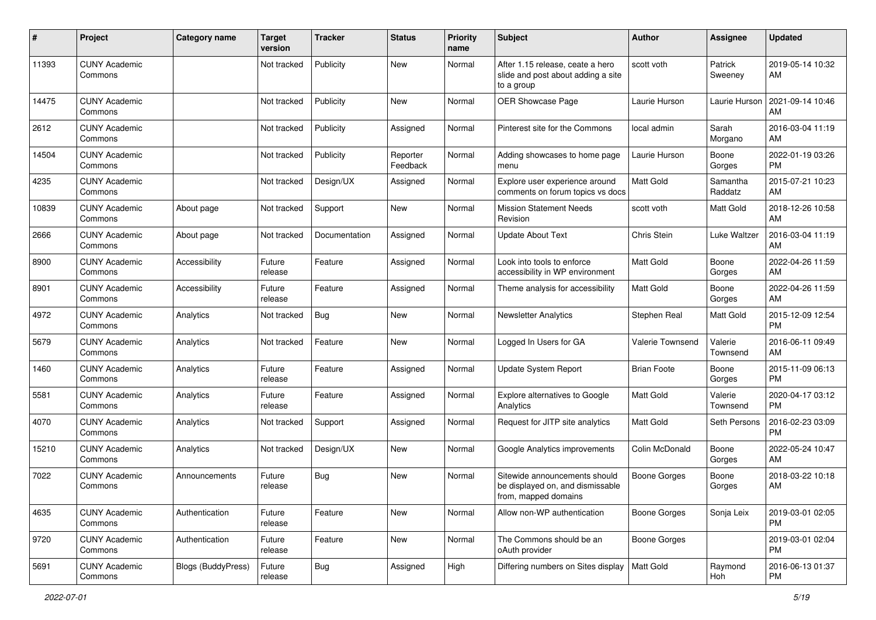| #     | Project                         | <b>Category name</b>      | <b>Target</b><br>version | Tracker       | <b>Status</b>        | Priority<br>name | <b>Subject</b>                                                                            | <b>Author</b>       | <b>Assignee</b>     | <b>Updated</b>                |
|-------|---------------------------------|---------------------------|--------------------------|---------------|----------------------|------------------|-------------------------------------------------------------------------------------------|---------------------|---------------------|-------------------------------|
| 11393 | <b>CUNY Academic</b><br>Commons |                           | Not tracked              | Publicity     | <b>New</b>           | Normal           | After 1.15 release, ceate a hero<br>slide and post about adding a site<br>to a group      | scott voth          | Patrick<br>Sweeney  | 2019-05-14 10:32<br>AM        |
| 14475 | <b>CUNY Academic</b><br>Commons |                           | Not tracked              | Publicity     | New                  | Normal           | OER Showcase Page                                                                         | Laurie Hurson       | Laurie Hurson       | 2021-09-14 10:46<br>AM        |
| 2612  | <b>CUNY Academic</b><br>Commons |                           | Not tracked              | Publicity     | Assigned             | Normal           | Pinterest site for the Commons                                                            | local admin         | Sarah<br>Morgano    | 2016-03-04 11:19<br>AM        |
| 14504 | <b>CUNY Academic</b><br>Commons |                           | Not tracked              | Publicity     | Reporter<br>Feedback | Normal           | Adding showcases to home page<br>menu                                                     | Laurie Hurson       | Boone<br>Gorges     | 2022-01-19 03:26<br><b>PM</b> |
| 4235  | <b>CUNY Academic</b><br>Commons |                           | Not tracked              | Design/UX     | Assigned             | Normal           | Explore user experience around<br>comments on forum topics vs docs                        | Matt Gold           | Samantha<br>Raddatz | 2015-07-21 10:23<br>AM        |
| 10839 | <b>CUNY Academic</b><br>Commons | About page                | Not tracked              | Support       | New                  | Normal           | <b>Mission Statement Needs</b><br>Revision                                                | scott voth          | Matt Gold           | 2018-12-26 10:58<br>AM        |
| 2666  | <b>CUNY Academic</b><br>Commons | About page                | Not tracked              | Documentation | Assigned             | Normal           | <b>Update About Text</b>                                                                  | Chris Stein         | Luke Waltzer        | 2016-03-04 11:19<br>AM        |
| 8900  | <b>CUNY Academic</b><br>Commons | Accessibility             | Future<br>release        | Feature       | Assigned             | Normal           | Look into tools to enforce<br>accessibility in WP environment                             | Matt Gold           | Boone<br>Gorges     | 2022-04-26 11:59<br>AM        |
| 8901  | <b>CUNY Academic</b><br>Commons | Accessibility             | Future<br>release        | Feature       | Assigned             | Normal           | Theme analysis for accessibility                                                          | <b>Matt Gold</b>    | Boone<br>Gorges     | 2022-04-26 11:59<br>AM        |
| 4972  | <b>CUNY Academic</b><br>Commons | Analytics                 | Not tracked              | Bug           | New                  | Normal           | <b>Newsletter Analytics</b>                                                               | Stephen Real        | Matt Gold           | 2015-12-09 12:54<br><b>PM</b> |
| 5679  | <b>CUNY Academic</b><br>Commons | Analytics                 | Not tracked              | Feature       | New                  | Normal           | Logged In Users for GA                                                                    | Valerie Townsend    | Valerie<br>Townsend | 2016-06-11 09:49<br>AM        |
| 1460  | <b>CUNY Academic</b><br>Commons | Analytics                 | Future<br>release        | Feature       | Assigned             | Normal           | <b>Update System Report</b>                                                               | <b>Brian Foote</b>  | Boone<br>Gorges     | 2015-11-09 06:13<br><b>PM</b> |
| 5581  | <b>CUNY Academic</b><br>Commons | Analytics                 | Future<br>release        | Feature       | Assigned             | Normal           | Explore alternatives to Google<br>Analytics                                               | <b>Matt Gold</b>    | Valerie<br>Townsend | 2020-04-17 03:12<br><b>PM</b> |
| 4070  | <b>CUNY Academic</b><br>Commons | Analytics                 | Not tracked              | Support       | Assigned             | Normal           | Request for JITP site analytics                                                           | <b>Matt Gold</b>    | Seth Persons        | 2016-02-23 03:09<br><b>PM</b> |
| 15210 | <b>CUNY Academic</b><br>Commons | Analytics                 | Not tracked              | Design/UX     | New                  | Normal           | Google Analytics improvements                                                             | Colin McDonald      | Boone<br>Gorges     | 2022-05-24 10:47<br>AM        |
| 7022  | <b>CUNY Academic</b><br>Commons | Announcements             | Future<br>release        | Bug           | New                  | Normal           | Sitewide announcements should<br>be displayed on, and dismissable<br>from, mapped domains | <b>Boone Gorges</b> | Boone<br>Gorges     | 2018-03-22 10:18<br>AM        |
| 4635  | <b>CUNY Academic</b><br>Commons | Authentication            | Future<br>release        | Feature       | New                  | Normal           | Allow non-WP authentication                                                               | <b>Boone Gorges</b> | Sonja Leix          | 2019-03-01 02:05<br>PM.       |
| 9720  | <b>CUNY Academic</b><br>Commons | Authentication            | Future<br>release        | Feature       | New                  | Normal           | The Commons should be an<br>oAuth provider                                                | <b>Boone Gorges</b> |                     | 2019-03-01 02:04<br><b>PM</b> |
| 5691  | <b>CUNY Academic</b><br>Commons | <b>Blogs (BuddyPress)</b> | Future<br>release        | Bug           | Assigned             | High             | Differing numbers on Sites display   Matt Gold                                            |                     | Raymond<br>Hoh      | 2016-06-13 01:37<br><b>PM</b> |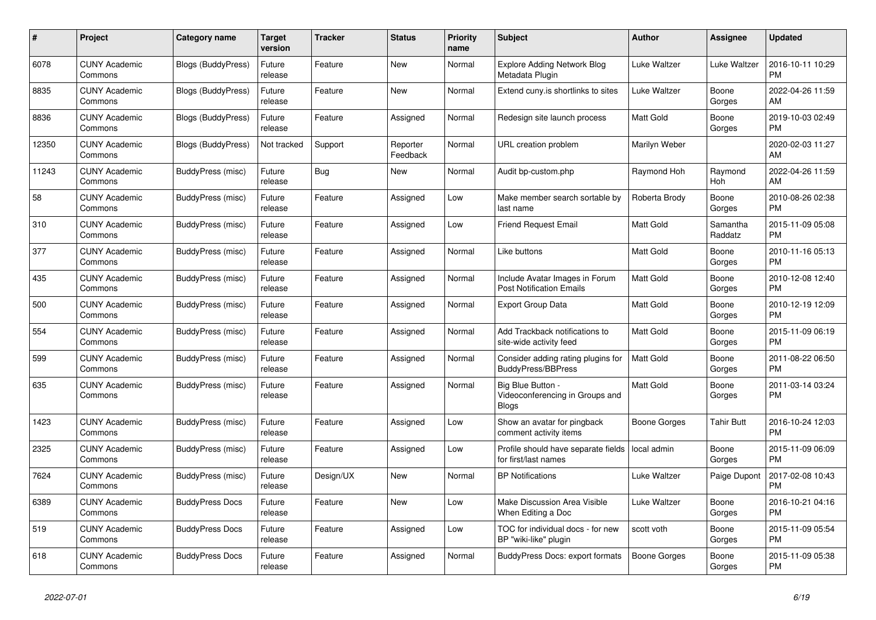| #     | Project                         | <b>Category name</b>      | <b>Target</b><br>version | <b>Tracker</b> | <b>Status</b>        | <b>Priority</b><br>name | <b>Subject</b>                                                    | <b>Author</b>    | Assignee            | <b>Updated</b>                |
|-------|---------------------------------|---------------------------|--------------------------|----------------|----------------------|-------------------------|-------------------------------------------------------------------|------------------|---------------------|-------------------------------|
| 6078  | <b>CUNY Academic</b><br>Commons | <b>Blogs (BuddyPress)</b> | Future<br>release        | Feature        | New                  | Normal                  | <b>Explore Adding Network Blog</b><br>Metadata Plugin             | Luke Waltzer     | Luke Waltzer        | 2016-10-11 10:29<br><b>PM</b> |
| 8835  | <b>CUNY Academic</b><br>Commons | Blogs (BuddyPress)        | Future<br>release        | Feature        | New                  | Normal                  | Extend cuny is shortlinks to sites                                | Luke Waltzer     | Boone<br>Gorges     | 2022-04-26 11:59<br>AM        |
| 8836  | <b>CUNY Academic</b><br>Commons | Blogs (BuddyPress)        | Future<br>release        | Feature        | Assigned             | Normal                  | Redesign site launch process                                      | Matt Gold        | Boone<br>Gorges     | 2019-10-03 02:49<br><b>PM</b> |
| 12350 | <b>CUNY Academic</b><br>Commons | <b>Blogs (BuddyPress)</b> | Not tracked              | Support        | Reporter<br>Feedback | Normal                  | URL creation problem                                              | Marilyn Weber    |                     | 2020-02-03 11:27<br>AM        |
| 11243 | <b>CUNY Academic</b><br>Commons | BuddyPress (misc)         | Future<br>release        | Bug            | <b>New</b>           | Normal                  | Audit bp-custom.php                                               | Raymond Hoh      | Raymond<br>Hoh      | 2022-04-26 11:59<br>AM        |
| 58    | <b>CUNY Academic</b><br>Commons | BuddyPress (misc)         | Future<br>release        | Feature        | Assigned             | Low                     | Make member search sortable by<br>last name                       | Roberta Brody    | Boone<br>Gorges     | 2010-08-26 02:38<br><b>PM</b> |
| 310   | <b>CUNY Academic</b><br>Commons | <b>BuddyPress (misc)</b>  | Future<br>release        | Feature        | Assigned             | Low                     | <b>Friend Request Email</b>                                       | <b>Matt Gold</b> | Samantha<br>Raddatz | 2015-11-09 05:08<br><b>PM</b> |
| 377   | <b>CUNY Academic</b><br>Commons | BuddyPress (misc)         | Future<br>release        | Feature        | Assigned             | Normal                  | Like buttons                                                      | <b>Matt Gold</b> | Boone<br>Gorges     | 2010-11-16 05:13<br><b>PM</b> |
| 435   | <b>CUNY Academic</b><br>Commons | BuddyPress (misc)         | Future<br>release        | Feature        | Assigned             | Normal                  | Include Avatar Images in Forum<br><b>Post Notification Emails</b> | <b>Matt Gold</b> | Boone<br>Gorges     | 2010-12-08 12:40<br><b>PM</b> |
| 500   | <b>CUNY Academic</b><br>Commons | BuddyPress (misc)         | Future<br>release        | Feature        | Assigned             | Normal                  | Export Group Data                                                 | Matt Gold        | Boone<br>Gorges     | 2010-12-19 12:09<br><b>PM</b> |
| 554   | <b>CUNY Academic</b><br>Commons | <b>BuddyPress (misc)</b>  | Future<br>release        | Feature        | Assigned             | Normal                  | Add Trackback notifications to<br>site-wide activity feed         | Matt Gold        | Boone<br>Gorges     | 2015-11-09 06:19<br><b>PM</b> |
| 599   | <b>CUNY Academic</b><br>Commons | BuddyPress (misc)         | Future<br>release        | Feature        | Assigned             | Normal                  | Consider adding rating plugins for<br><b>BuddyPress/BBPress</b>   | <b>Matt Gold</b> | Boone<br>Gorges     | 2011-08-22 06:50<br><b>PM</b> |
| 635   | <b>CUNY Academic</b><br>Commons | BuddyPress (misc)         | Future<br>release        | Feature        | Assigned             | Normal                  | Big Blue Button<br>Videoconferencing in Groups and<br>Blogs       | Matt Gold        | Boone<br>Gorges     | 2011-03-14 03:24<br><b>PM</b> |
| 1423  | <b>CUNY Academic</b><br>Commons | BuddyPress (misc)         | Future<br>release        | Feature        | Assigned             | Low                     | Show an avatar for pingback<br>comment activity items             | Boone Gorges     | <b>Tahir Butt</b>   | 2016-10-24 12:03<br><b>PM</b> |
| 2325  | <b>CUNY Academic</b><br>Commons | BuddyPress (misc)         | Future<br>release        | Feature        | Assigned             | Low                     | Profile should have separate fields<br>for first/last names       | local admin      | Boone<br>Gorges     | 2015-11-09 06:09<br>PM        |
| 7624  | <b>CUNY Academic</b><br>Commons | BuddyPress (misc)         | Future<br>release        | Design/UX      | <b>New</b>           | Normal                  | <b>BP Notifications</b>                                           | Luke Waltzer     | Paige Dupont        | 2017-02-08 10:43<br><b>PM</b> |
| 6389  | <b>CUNY Academic</b><br>Commons | <b>BuddyPress Docs</b>    | Future<br>release        | Feature        | <b>New</b>           | Low                     | Make Discussion Area Visible<br>When Editing a Doc                | Luke Waltzer     | Boone<br>Gorges     | 2016-10-21 04:16<br><b>PM</b> |
| 519   | <b>CUNY Academic</b><br>Commons | <b>BuddyPress Docs</b>    | Future<br>release        | Feature        | Assigned             | Low                     | TOC for individual docs - for new<br>BP "wiki-like" plugin        | scott voth       | Boone<br>Gorges     | 2015-11-09 05:54<br><b>PM</b> |
| 618   | <b>CUNY Academic</b><br>Commons | <b>BuddyPress Docs</b>    | Future<br>release        | Feature        | Assigned             | Normal                  | <b>BuddyPress Docs: export formats</b>                            | Boone Gorges     | Boone<br>Gorges     | 2015-11-09 05:38<br><b>PM</b> |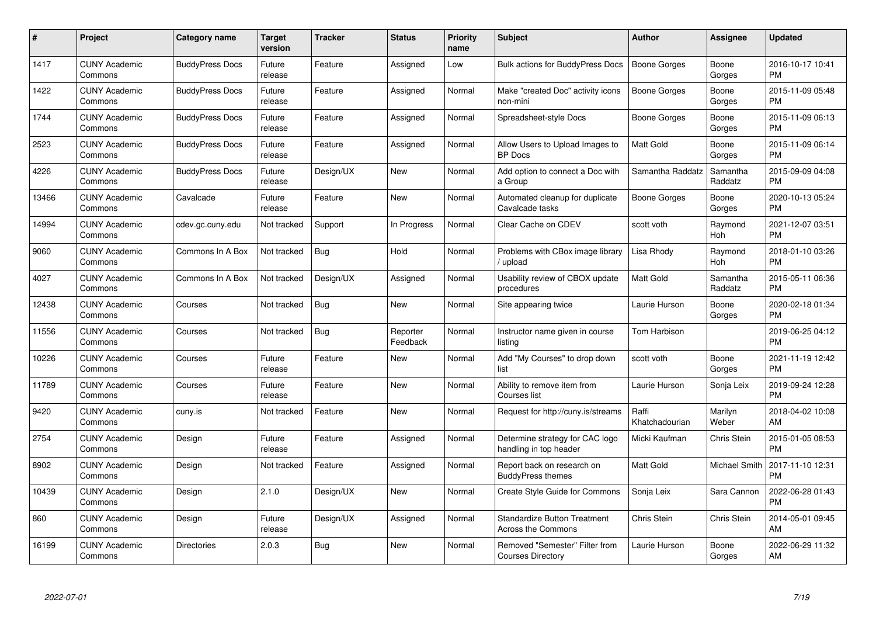| $\#$  | Project                         | <b>Category name</b>   | <b>Target</b><br>version | <b>Tracker</b> | <b>Status</b>        | Priority<br>name | <b>Subject</b>                                                   | <b>Author</b>           | <b>Assignee</b>     | <b>Updated</b>                |
|-------|---------------------------------|------------------------|--------------------------|----------------|----------------------|------------------|------------------------------------------------------------------|-------------------------|---------------------|-------------------------------|
| 1417  | <b>CUNY Academic</b><br>Commons | <b>BuddyPress Docs</b> | Future<br>release        | Feature        | Assigned             | Low              | <b>Bulk actions for BuddyPress Docs</b>                          | <b>Boone Gorges</b>     | Boone<br>Gorges     | 2016-10-17 10:41<br><b>PM</b> |
| 1422  | <b>CUNY Academic</b><br>Commons | <b>BuddyPress Docs</b> | Future<br>release        | Feature        | Assigned             | Normal           | Make "created Doc" activity icons<br>non-mini                    | Boone Gorges            | Boone<br>Gorges     | 2015-11-09 05:48<br><b>PM</b> |
| 1744  | <b>CUNY Academic</b><br>Commons | <b>BuddyPress Docs</b> | Future<br>release        | Feature        | Assigned             | Normal           | Spreadsheet-style Docs                                           | Boone Gorges            | Boone<br>Gorges     | 2015-11-09 06:13<br><b>PM</b> |
| 2523  | <b>CUNY Academic</b><br>Commons | <b>BuddyPress Docs</b> | Future<br>release        | Feature        | Assigned             | Normal           | Allow Users to Upload Images to<br><b>BP</b> Docs                | Matt Gold               | Boone<br>Gorges     | 2015-11-09 06:14<br><b>PM</b> |
| 4226  | <b>CUNY Academic</b><br>Commons | <b>BuddyPress Docs</b> | Future<br>release        | Design/UX      | <b>New</b>           | Normal           | Add option to connect a Doc with<br>a Group                      | Samantha Raddatz        | Samantha<br>Raddatz | 2015-09-09 04:08<br><b>PM</b> |
| 13466 | <b>CUNY Academic</b><br>Commons | Cavalcade              | Future<br>release        | Feature        | <b>New</b>           | Normal           | Automated cleanup for duplicate<br>Cavalcade tasks               | Boone Gorges            | Boone<br>Gorges     | 2020-10-13 05:24<br><b>PM</b> |
| 14994 | <b>CUNY Academic</b><br>Commons | cdev.gc.cuny.edu       | Not tracked              | Support        | In Progress          | Normal           | Clear Cache on CDEV                                              | scott voth              | Raymond<br>Hoh      | 2021-12-07 03:51<br><b>PM</b> |
| 9060  | <b>CUNY Academic</b><br>Commons | Commons In A Box       | Not tracked              | Bug            | Hold                 | Normal           | Problems with CBox image library<br>/ upload                     | Lisa Rhody              | Raymond<br>Hoh      | 2018-01-10 03:26<br><b>PM</b> |
| 4027  | <b>CUNY Academic</b><br>Commons | Commons In A Box       | Not tracked              | Design/UX      | Assigned             | Normal           | Usability review of CBOX update<br>procedures                    | <b>Matt Gold</b>        | Samantha<br>Raddatz | 2015-05-11 06:36<br><b>PM</b> |
| 12438 | <b>CUNY Academic</b><br>Commons | Courses                | Not tracked              | Bug            | <b>New</b>           | Normal           | Site appearing twice                                             | Laurie Hurson           | Boone<br>Gorges     | 2020-02-18 01:34<br><b>PM</b> |
| 11556 | <b>CUNY Academic</b><br>Commons | Courses                | Not tracked              | Bug            | Reporter<br>Feedback | Normal           | Instructor name given in course<br>listing                       | Tom Harbison            |                     | 2019-06-25 04:12<br><b>PM</b> |
| 10226 | <b>CUNY Academic</b><br>Commons | Courses                | Future<br>release        | Feature        | <b>New</b>           | Normal           | Add "My Courses" to drop down<br>list                            | scott voth              | Boone<br>Gorges     | 2021-11-19 12:42<br><b>PM</b> |
| 11789 | <b>CUNY Academic</b><br>Commons | Courses                | Future<br>release        | Feature        | New                  | Normal           | Ability to remove item from<br>Courses list                      | Laurie Hurson           | Sonja Leix          | 2019-09-24 12:28<br><b>PM</b> |
| 9420  | <b>CUNY Academic</b><br>Commons | cuny.is                | Not tracked              | Feature        | <b>New</b>           | Normal           | Request for http://cuny.is/streams                               | Raffi<br>Khatchadourian | Marilyn<br>Weber    | 2018-04-02 10:08<br>AM        |
| 2754  | <b>CUNY Academic</b><br>Commons | Design                 | Future<br>release        | Feature        | Assigned             | Normal           | Determine strategy for CAC logo<br>handling in top header        | Micki Kaufman           | Chris Stein         | 2015-01-05 08:53<br><b>PM</b> |
| 8902  | <b>CUNY Academic</b><br>Commons | Design                 | Not tracked              | Feature        | Assigned             | Normal           | Report back on research on<br><b>BuddyPress themes</b>           | Matt Gold               | Michael Smith       | 2017-11-10 12:31<br><b>PM</b> |
| 10439 | <b>CUNY Academic</b><br>Commons | Design                 | 2.1.0                    | Design/UX      | <b>New</b>           | Normal           | Create Style Guide for Commons                                   | Sonja Leix              | Sara Cannon         | 2022-06-28 01:43<br><b>PM</b> |
| 860   | <b>CUNY Academic</b><br>Commons | Design                 | Future<br>release        | Design/UX      | Assigned             | Normal           | <b>Standardize Button Treatment</b><br><b>Across the Commons</b> | Chris Stein             | Chris Stein         | 2014-05-01 09:45<br>AM        |
| 16199 | <b>CUNY Academic</b><br>Commons | Directories            | 2.0.3                    | Bug            | <b>New</b>           | Normal           | Removed "Semester" Filter from<br><b>Courses Directory</b>       | Laurie Hurson           | Boone<br>Gorges     | 2022-06-29 11:32<br>AM        |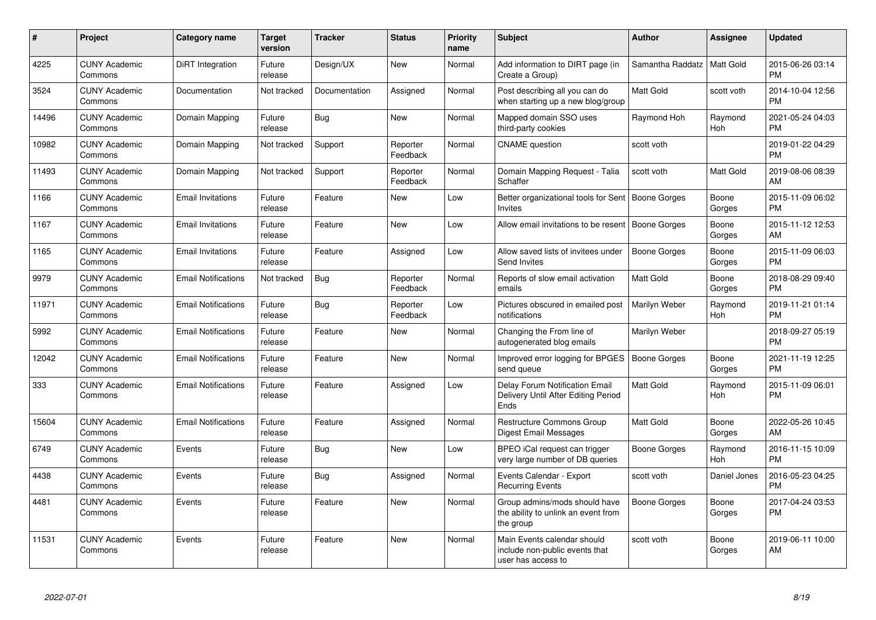| #     | Project                         | <b>Category name</b>       | Target<br>version | <b>Tracker</b> | <b>Status</b>        | <b>Priority</b><br>name | <b>Subject</b>                                                                      | <b>Author</b>    | <b>Assignee</b>  | <b>Updated</b>                |
|-------|---------------------------------|----------------------------|-------------------|----------------|----------------------|-------------------------|-------------------------------------------------------------------------------------|------------------|------------------|-------------------------------|
| 4225  | <b>CUNY Academic</b><br>Commons | <b>DiRT</b> Integration    | Future<br>release | Design/UX      | <b>New</b>           | Normal                  | Add information to DIRT page (in<br>Create a Group)                                 | Samantha Raddatz | <b>Matt Gold</b> | 2015-06-26 03:14<br><b>PM</b> |
| 3524  | <b>CUNY Academic</b><br>Commons | Documentation              | Not tracked       | Documentation  | Assigned             | Normal                  | Post describing all you can do<br>when starting up a new blog/group                 | Matt Gold        | scott voth       | 2014-10-04 12:56<br><b>PM</b> |
| 14496 | <b>CUNY Academic</b><br>Commons | Domain Mapping             | Future<br>release | <b>Bug</b>     | <b>New</b>           | Normal                  | Mapped domain SSO uses<br>third-party cookies                                       | Raymond Hoh      | Raymond<br>Hoh   | 2021-05-24 04:03<br><b>PM</b> |
| 10982 | <b>CUNY Academic</b><br>Commons | Domain Mapping             | Not tracked       | Support        | Reporter<br>Feedback | Normal                  | <b>CNAME</b> question                                                               | scott voth       |                  | 2019-01-22 04:29<br><b>PM</b> |
| 11493 | <b>CUNY Academic</b><br>Commons | Domain Mapping             | Not tracked       | Support        | Reporter<br>Feedback | Normal                  | Domain Mapping Request - Talia<br>Schaffer                                          | scott voth       | Matt Gold        | 2019-08-06 08:39<br><b>AM</b> |
| 1166  | <b>CUNY Academic</b><br>Commons | <b>Email Invitations</b>   | Future<br>release | Feature        | New                  | Low                     | Better organizational tools for Sent<br><b>Invites</b>                              | Boone Gorges     | Boone<br>Gorges  | 2015-11-09 06:02<br><b>PM</b> |
| 1167  | <b>CUNY Academic</b><br>Commons | <b>Email Invitations</b>   | Future<br>release | Feature        | <b>New</b>           | Low                     | Allow email invitations to be resent                                                | Boone Gorges     | Boone<br>Gorges  | 2015-11-12 12:53<br>AM        |
| 1165  | <b>CUNY Academic</b><br>Commons | <b>Email Invitations</b>   | Future<br>release | Feature        | Assigned             | Low                     | Allow saved lists of invitees under<br>Send Invites                                 | Boone Gorges     | Boone<br>Gorges  | 2015-11-09 06:03<br><b>PM</b> |
| 9979  | <b>CUNY Academic</b><br>Commons | <b>Email Notifications</b> | Not tracked       | <b>Bug</b>     | Reporter<br>Feedback | Normal                  | Reports of slow email activation<br>emails                                          | Matt Gold        | Boone<br>Gorges  | 2018-08-29 09:40<br><b>PM</b> |
| 11971 | <b>CUNY Academic</b><br>Commons | <b>Email Notifications</b> | Future<br>release | <b>Bug</b>     | Reporter<br>Feedback | Low                     | Pictures obscured in emailed post<br>notifications                                  | Marilyn Weber    | Raymond<br>Hoh   | 2019-11-21 01:14<br><b>PM</b> |
| 5992  | <b>CUNY Academic</b><br>Commons | <b>Email Notifications</b> | Future<br>release | Feature        | New                  | Normal                  | Changing the From line of<br>autogenerated blog emails                              | Marilyn Weber    |                  | 2018-09-27 05:19<br><b>PM</b> |
| 12042 | <b>CUNY Academic</b><br>Commons | <b>Email Notifications</b> | Future<br>release | Feature        | New                  | Normal                  | Improved error logging for BPGES<br>send queue                                      | Boone Gorges     | Boone<br>Gorges  | 2021-11-19 12:25<br>PM.       |
| 333   | <b>CUNY Academic</b><br>Commons | <b>Email Notifications</b> | Future<br>release | Feature        | Assigned             | Low                     | Delay Forum Notification Email<br>Delivery Until After Editing Period<br>Ends       | <b>Matt Gold</b> | Raymond<br>Hoh   | 2015-11-09 06:01<br><b>PM</b> |
| 15604 | <b>CUNY Academic</b><br>Commons | <b>Email Notifications</b> | Future<br>release | Feature        | Assigned             | Normal                  | <b>Restructure Commons Group</b><br><b>Digest Email Messages</b>                    | <b>Matt Gold</b> | Boone<br>Gorges  | 2022-05-26 10:45<br>AM        |
| 6749  | <b>CUNY Academic</b><br>Commons | Events                     | Future<br>release | Bug            | <b>New</b>           | Low                     | BPEO iCal request can trigger<br>very large number of DB queries                    | Boone Gorges     | Raymond<br>Hoh   | 2016-11-15 10:09<br><b>PM</b> |
| 4438  | <b>CUNY Academic</b><br>Commons | Events                     | Future<br>release | Bug            | Assigned             | Normal                  | Events Calendar - Export<br><b>Recurring Events</b>                                 | scott voth       | Daniel Jones     | 2016-05-23 04:25<br><b>PM</b> |
| 4481  | <b>CUNY Academic</b><br>Commons | Events                     | Future<br>release | Feature        | <b>New</b>           | Normal                  | Group admins/mods should have<br>the ability to unlink an event from<br>the group   | Boone Gorges     | Boone<br>Gorges  | 2017-04-24 03:53<br>PM        |
| 11531 | <b>CUNY Academic</b><br>Commons | Events                     | Future<br>release | Feature        | <b>New</b>           | Normal                  | Main Events calendar should<br>include non-public events that<br>user has access to | scott voth       | Boone<br>Gorges  | 2019-06-11 10:00<br>AM        |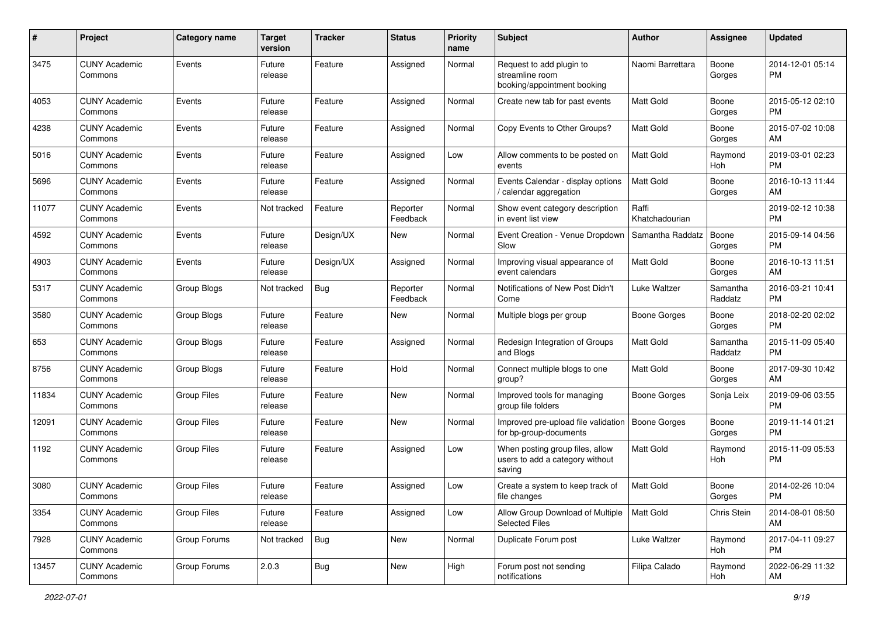| #     | Project                         | <b>Category name</b> | <b>Target</b><br>version | <b>Tracker</b> | <b>Status</b>        | <b>Priority</b><br>name | Subject                                                                      | Author                  | Assignee            | <b>Updated</b>                |
|-------|---------------------------------|----------------------|--------------------------|----------------|----------------------|-------------------------|------------------------------------------------------------------------------|-------------------------|---------------------|-------------------------------|
| 3475  | <b>CUNY Academic</b><br>Commons | Events               | Future<br>release        | Feature        | Assigned             | Normal                  | Request to add plugin to<br>streamline room<br>booking/appointment booking   | Naomi Barrettara        | Boone<br>Gorges     | 2014-12-01 05:14<br>PM.       |
| 4053  | <b>CUNY Academic</b><br>Commons | Events               | Future<br>release        | Feature        | Assigned             | Normal                  | Create new tab for past events                                               | <b>Matt Gold</b>        | Boone<br>Gorges     | 2015-05-12 02:10<br>PM.       |
| 4238  | <b>CUNY Academic</b><br>Commons | Events               | Future<br>release        | Feature        | Assigned             | Normal                  | Copy Events to Other Groups?                                                 | <b>Matt Gold</b>        | Boone<br>Gorges     | 2015-07-02 10:08<br>AM        |
| 5016  | <b>CUNY Academic</b><br>Commons | Events               | Future<br>release        | Feature        | Assigned             | Low                     | Allow comments to be posted on<br>events                                     | <b>Matt Gold</b>        | Raymond<br>Hoh      | 2019-03-01 02:23<br><b>PM</b> |
| 5696  | <b>CUNY Academic</b><br>Commons | Events               | Future<br>release        | Feature        | Assigned             | Normal                  | Events Calendar - display options<br>/ calendar aggregation                  | <b>Matt Gold</b>        | Boone<br>Gorges     | 2016-10-13 11:44<br>AM        |
| 11077 | <b>CUNY Academic</b><br>Commons | Events               | Not tracked              | Feature        | Reporter<br>Feedback | Normal                  | Show event category description<br>in event list view                        | Raffi<br>Khatchadourian |                     | 2019-02-12 10:38<br><b>PM</b> |
| 4592  | <b>CUNY Academic</b><br>Commons | Events               | Future<br>release        | Design/UX      | New                  | Normal                  | Event Creation - Venue Dropdown<br>Slow                                      | Samantha Raddatz        | Boone<br>Gorges     | 2015-09-14 04:56<br><b>PM</b> |
| 4903  | <b>CUNY Academic</b><br>Commons | Events               | Future<br>release        | Design/UX      | Assigned             | Normal                  | Improving visual appearance of<br>event calendars                            | <b>Matt Gold</b>        | Boone<br>Gorges     | 2016-10-13 11:51<br>AM        |
| 5317  | <b>CUNY Academic</b><br>Commons | Group Blogs          | Not tracked              | Bug            | Reporter<br>Feedback | Normal                  | Notifications of New Post Didn't<br>Come                                     | Luke Waltzer            | Samantha<br>Raddatz | 2016-03-21 10:41<br><b>PM</b> |
| 3580  | <b>CUNY Academic</b><br>Commons | Group Blogs          | Future<br>release        | Feature        | New                  | Normal                  | Multiple blogs per group                                                     | Boone Gorges            | Boone<br>Gorges     | 2018-02-20 02:02<br><b>PM</b> |
| 653   | <b>CUNY Academic</b><br>Commons | Group Blogs          | Future<br>release        | Feature        | Assigned             | Normal                  | Redesign Integration of Groups<br>and Blogs                                  | Matt Gold               | Samantha<br>Raddatz | 2015-11-09 05:40<br><b>PM</b> |
| 8756  | <b>CUNY Academic</b><br>Commons | Group Blogs          | Future<br>release        | Feature        | Hold                 | Normal                  | Connect multiple blogs to one<br>group?                                      | Matt Gold               | Boone<br>Gorges     | 2017-09-30 10:42<br>AM        |
| 11834 | <b>CUNY Academic</b><br>Commons | <b>Group Files</b>   | Future<br>release        | Feature        | New                  | Normal                  | Improved tools for managing<br>group file folders                            | Boone Gorges            | Sonja Leix          | 2019-09-06 03:55<br><b>PM</b> |
| 12091 | <b>CUNY Academic</b><br>Commons | <b>Group Files</b>   | Future<br>release        | Feature        | New                  | Normal                  | Improved pre-upload file validation<br>for bp-group-documents                | <b>Boone Gorges</b>     | Boone<br>Gorges     | 2019-11-14 01:21<br><b>PM</b> |
| 1192  | <b>CUNY Academic</b><br>Commons | <b>Group Files</b>   | Future<br>release        | Feature        | Assigned             | Low                     | When posting group files, allow<br>users to add a category without<br>saving | <b>Matt Gold</b>        | Raymond<br>Hoh      | 2015-11-09 05:53<br><b>PM</b> |
| 3080  | <b>CUNY Academic</b><br>Commons | <b>Group Files</b>   | Future<br>release        | Feature        | Assigned             | Low                     | Create a system to keep track of<br>file changes                             | <b>Matt Gold</b>        | Boone<br>Gorges     | 2014-02-26 10:04<br><b>PM</b> |
| 3354  | <b>CUNY Academic</b><br>Commons | Group Files          | Future<br>release        | Feature        | Assigned             | Low                     | Allow Group Download of Multiple<br>Selected Files                           | Matt Gold               | Chris Stein         | 2014-08-01 08:50<br>AM        |
| 7928  | <b>CUNY Academic</b><br>Commons | Group Forums         | Not tracked              | Bug            | New                  | Normal                  | Duplicate Forum post                                                         | Luke Waltzer            | Raymond<br>Hoh      | 2017-04-11 09:27<br><b>PM</b> |
| 13457 | <b>CUNY Academic</b><br>Commons | Group Forums         | 2.0.3                    | <b>Bug</b>     | New                  | High                    | Forum post not sending<br>notifications                                      | Filipa Calado           | Raymond<br>Hoh      | 2022-06-29 11:32<br>AM        |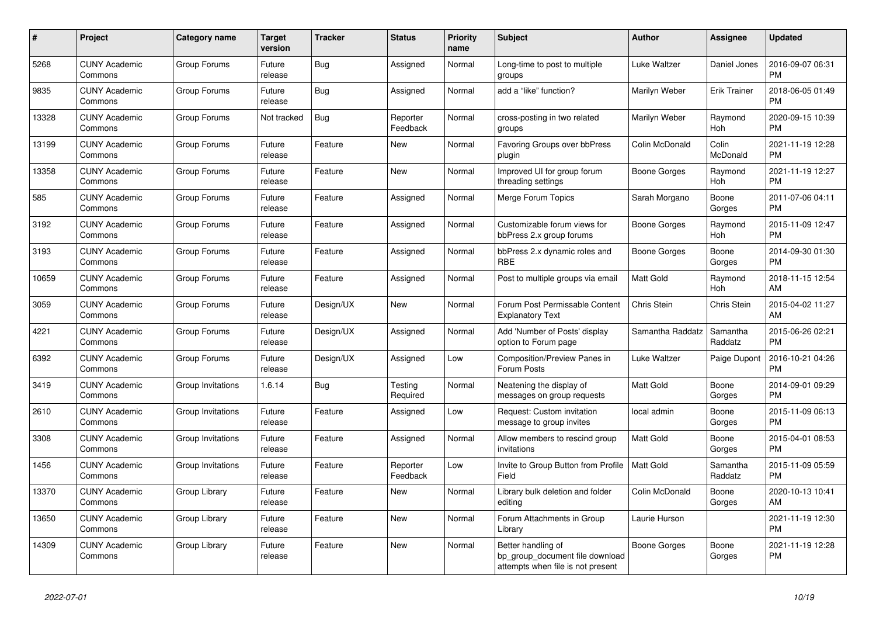| #     | <b>Project</b>                  | Category name     | Target<br>version | <b>Tracker</b> | <b>Status</b>        | Priority<br>name | <b>Subject</b>                                                                             | <b>Author</b>    | Assignee            | <b>Updated</b>                |
|-------|---------------------------------|-------------------|-------------------|----------------|----------------------|------------------|--------------------------------------------------------------------------------------------|------------------|---------------------|-------------------------------|
| 5268  | <b>CUNY Academic</b><br>Commons | Group Forums      | Future<br>release | Bug            | Assigned             | Normal           | Long-time to post to multiple<br>groups                                                    | Luke Waltzer     | Daniel Jones        | 2016-09-07 06:31<br><b>PM</b> |
| 9835  | <b>CUNY Academic</b><br>Commons | Group Forums      | Future<br>release | Bug            | Assigned             | Normal           | add a "like" function?                                                                     | Marilyn Weber    | <b>Erik Trainer</b> | 2018-06-05 01:49<br><b>PM</b> |
| 13328 | <b>CUNY Academic</b><br>Commons | Group Forums      | Not tracked       | Bug            | Reporter<br>Feedback | Normal           | cross-posting in two related<br>groups                                                     | Marilyn Weber    | Raymond<br>Hoh      | 2020-09-15 10:39<br><b>PM</b> |
| 13199 | <b>CUNY Academic</b><br>Commons | Group Forums      | Future<br>release | Feature        | <b>New</b>           | Normal           | Favoring Groups over bbPress<br>plugin                                                     | Colin McDonald   | Colin<br>McDonald   | 2021-11-19 12:28<br><b>PM</b> |
| 13358 | <b>CUNY Academic</b><br>Commons | Group Forums      | Future<br>release | Feature        | New                  | Normal           | Improved UI for group forum<br>threading settings                                          | Boone Gorges     | Raymond<br>Hoh      | 2021-11-19 12:27<br>PM.       |
| 585   | <b>CUNY Academic</b><br>Commons | Group Forums      | Future<br>release | Feature        | Assigned             | Normal           | Merge Forum Topics                                                                         | Sarah Morgano    | Boone<br>Gorges     | 2011-07-06 04:11<br><b>PM</b> |
| 3192  | <b>CUNY Academic</b><br>Commons | Group Forums      | Future<br>release | Feature        | Assigned             | Normal           | Customizable forum views for<br>bbPress 2.x group forums                                   | Boone Gorges     | Raymond<br>Hoh      | 2015-11-09 12:47<br><b>PM</b> |
| 3193  | <b>CUNY Academic</b><br>Commons | Group Forums      | Future<br>release | Feature        | Assigned             | Normal           | bbPress 2.x dynamic roles and<br>RBE                                                       | Boone Gorges     | Boone<br>Gorges     | 2014-09-30 01:30<br>PM.       |
| 10659 | <b>CUNY Academic</b><br>Commons | Group Forums      | Future<br>release | Feature        | Assigned             | Normal           | Post to multiple groups via email                                                          | Matt Gold        | Raymond<br>Hoh      | 2018-11-15 12:54<br>AM        |
| 3059  | <b>CUNY Academic</b><br>Commons | Group Forums      | Future<br>release | Design/UX      | New                  | Normal           | Forum Post Permissable Content<br><b>Explanatory Text</b>                                  | Chris Stein      | Chris Stein         | 2015-04-02 11:27<br><b>AM</b> |
| 4221  | <b>CUNY Academic</b><br>Commons | Group Forums      | Future<br>release | Design/UX      | Assigned             | Normal           | Add 'Number of Posts' display<br>option to Forum page                                      | Samantha Raddatz | Samantha<br>Raddatz | 2015-06-26 02:21<br><b>PM</b> |
| 6392  | <b>CUNY Academic</b><br>Commons | Group Forums      | Future<br>release | Design/UX      | Assigned             | Low              | Composition/Preview Panes in<br>Forum Posts                                                | Luke Waltzer     | Paige Dupont        | 2016-10-21 04:26<br><b>PM</b> |
| 3419  | <b>CUNY Academic</b><br>Commons | Group Invitations | 1.6.14            | Bug            | Testing<br>Required  | Normal           | Neatening the display of<br>messages on group requests                                     | Matt Gold        | Boone<br>Gorges     | 2014-09-01 09:29<br><b>PM</b> |
| 2610  | <b>CUNY Academic</b><br>Commons | Group Invitations | Future<br>release | Feature        | Assigned             | Low              | Request: Custom invitation<br>message to group invites                                     | local admin      | Boone<br>Gorges     | 2015-11-09 06:13<br>PM.       |
| 3308  | <b>CUNY Academic</b><br>Commons | Group Invitations | Future<br>release | Feature        | Assigned             | Normal           | Allow members to rescind group<br>invitations                                              | Matt Gold        | Boone<br>Gorges     | 2015-04-01 08:53<br><b>PM</b> |
| 1456  | <b>CUNY Academic</b><br>Commons | Group Invitations | Future<br>release | Feature        | Reporter<br>Feedback | Low              | Invite to Group Button from Profile<br>Field                                               | Matt Gold        | Samantha<br>Raddatz | 2015-11-09 05:59<br><b>PM</b> |
| 13370 | <b>CUNY Academic</b><br>Commons | Group Library     | Future<br>release | Feature        | <b>New</b>           | Normal           | Library bulk deletion and folder<br>editing                                                | Colin McDonald   | Boone<br>Gorges     | 2020-10-13 10:41<br>AM.       |
| 13650 | <b>CUNY Academic</b><br>Commons | Group Library     | Future<br>release | Feature        | <b>New</b>           | Normal           | Forum Attachments in Group<br>Library                                                      | Laurie Hurson    |                     | 2021-11-19 12:30<br><b>PM</b> |
| 14309 | <b>CUNY Academic</b><br>Commons | Group Library     | Future<br>release | Feature        | New                  | Normal           | Better handling of<br>bp_group_document file download<br>attempts when file is not present | Boone Gorges     | Boone<br>Gorges     | 2021-11-19 12:28<br><b>PM</b> |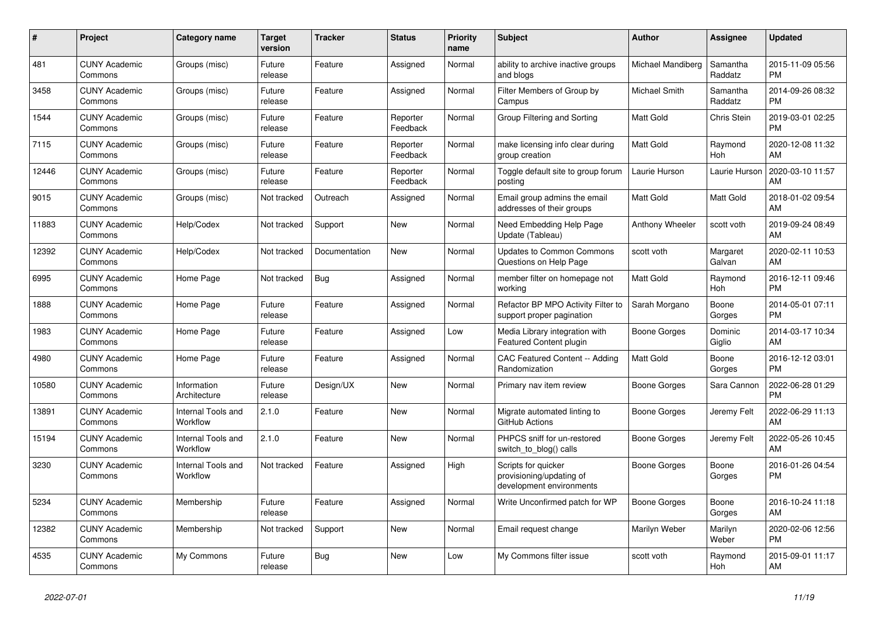| #     | Project                         | <b>Category name</b>           | <b>Target</b><br>version | <b>Tracker</b> | <b>Status</b>        | <b>Priority</b><br>name | <b>Subject</b>                                                              | <b>Author</b>     | Assignee            | <b>Updated</b>                |
|-------|---------------------------------|--------------------------------|--------------------------|----------------|----------------------|-------------------------|-----------------------------------------------------------------------------|-------------------|---------------------|-------------------------------|
| 481   | <b>CUNY Academic</b><br>Commons | Groups (misc)                  | Future<br>release        | Feature        | Assigned             | Normal                  | ability to archive inactive groups<br>and blogs                             | Michael Mandiberg | Samantha<br>Raddatz | 2015-11-09 05:56<br><b>PM</b> |
| 3458  | <b>CUNY Academic</b><br>Commons | Groups (misc)                  | Future<br>release        | Feature        | Assigned             | Normal                  | Filter Members of Group by<br>Campus                                        | Michael Smith     | Samantha<br>Raddatz | 2014-09-26 08:32<br><b>PM</b> |
| 1544  | <b>CUNY Academic</b><br>Commons | Groups (misc)                  | Future<br>release        | Feature        | Reporter<br>Feedback | Normal                  | Group Filtering and Sorting                                                 | <b>Matt Gold</b>  | Chris Stein         | 2019-03-01 02:25<br><b>PM</b> |
| 7115  | <b>CUNY Academic</b><br>Commons | Groups (misc)                  | Future<br>release        | Feature        | Reporter<br>Feedback | Normal                  | make licensing info clear during<br>group creation                          | <b>Matt Gold</b>  | Raymond<br>Hoh      | 2020-12-08 11:32<br>AM        |
| 12446 | <b>CUNY Academic</b><br>Commons | Groups (misc)                  | Future<br>release        | Feature        | Reporter<br>Feedback | Normal                  | Toggle default site to group forum<br>posting                               | Laurie Hurson     | Laurie Hurson       | 2020-03-10 11:57<br>AM        |
| 9015  | <b>CUNY Academic</b><br>Commons | Groups (misc)                  | Not tracked              | Outreach       | Assigned             | Normal                  | Email group admins the email<br>addresses of their groups                   | Matt Gold         | Matt Gold           | 2018-01-02 09:54<br>AM        |
| 11883 | <b>CUNY Academic</b><br>Commons | Help/Codex                     | Not tracked              | Support        | <b>New</b>           | Normal                  | Need Embedding Help Page<br>Update (Tableau)                                | Anthony Wheeler   | scott voth          | 2019-09-24 08:49<br>AM        |
| 12392 | <b>CUNY Academic</b><br>Commons | Help/Codex                     | Not tracked              | Documentation  | <b>New</b>           | Normal                  | <b>Updates to Common Commons</b><br>Questions on Help Page                  | scott voth        | Margaret<br>Galvan  | 2020-02-11 10:53<br>AM        |
| 6995  | <b>CUNY Academic</b><br>Commons | Home Page                      | Not tracked              | Bug            | Assigned             | Normal                  | member filter on homepage not<br>working                                    | Matt Gold         | Raymond<br>Hoh      | 2016-12-11 09:46<br><b>PM</b> |
| 1888  | <b>CUNY Academic</b><br>Commons | Home Page                      | Future<br>release        | Feature        | Assigned             | Normal                  | Refactor BP MPO Activity Filter to<br>support proper pagination             | Sarah Morgano     | Boone<br>Gorges     | 2014-05-01 07:11<br><b>PM</b> |
| 1983  | <b>CUNY Academic</b><br>Commons | Home Page                      | Future<br>release        | Feature        | Assigned             | Low                     | Media Library integration with<br><b>Featured Content plugin</b>            | Boone Gorges      | Dominic<br>Giglio   | 2014-03-17 10:34<br>AM        |
| 4980  | <b>CUNY Academic</b><br>Commons | Home Page                      | Future<br>release        | Feature        | Assigned             | Normal                  | CAC Featured Content -- Adding<br>Randomization                             | <b>Matt Gold</b>  | Boone<br>Gorges     | 2016-12-12 03:01<br><b>PM</b> |
| 10580 | <b>CUNY Academic</b><br>Commons | Information<br>Architecture    | Future<br>release        | Design/UX      | New                  | Normal                  | Primary nav item review                                                     | Boone Gorges      | Sara Cannon         | 2022-06-28 01:29<br><b>PM</b> |
| 13891 | <b>CUNY Academic</b><br>Commons | Internal Tools and<br>Workflow | 2.1.0                    | Feature        | <b>New</b>           | Normal                  | Migrate automated linting to<br>GitHub Actions                              | Boone Gorges      | Jeremy Felt         | 2022-06-29 11:13<br>AM        |
| 15194 | <b>CUNY Academic</b><br>Commons | Internal Tools and<br>Workflow | 2.1.0                    | Feature        | <b>New</b>           | Normal                  | PHPCS sniff for un-restored<br>switch_to_blog() calls                       | Boone Gorges      | Jeremy Felt         | 2022-05-26 10:45<br>AM        |
| 3230  | <b>CUNY Academic</b><br>Commons | Internal Tools and<br>Workflow | Not tracked              | Feature        | Assigned             | High                    | Scripts for quicker<br>provisioning/updating of<br>development environments | Boone Gorges      | Boone<br>Gorges     | 2016-01-26 04:54<br><b>PM</b> |
| 5234  | <b>CUNY Academic</b><br>Commons | Membership                     | Future<br>release        | Feature        | Assigned             | Normal                  | Write Unconfirmed patch for WP                                              | Boone Gorges      | Boone<br>Gorges     | 2016-10-24 11:18<br>AM        |
| 12382 | <b>CUNY Academic</b><br>Commons | Membership                     | Not tracked              | Support        | New                  | Normal                  | Email request change                                                        | Marilyn Weber     | Marilyn<br>Weber    | 2020-02-06 12:56<br><b>PM</b> |
| 4535  | <b>CUNY Academic</b><br>Commons | My Commons                     | Future<br>release        | <b>Bug</b>     | <b>New</b>           | Low                     | My Commons filter issue                                                     | scott voth        | Raymond<br>Hoh      | 2015-09-01 11:17<br>AM        |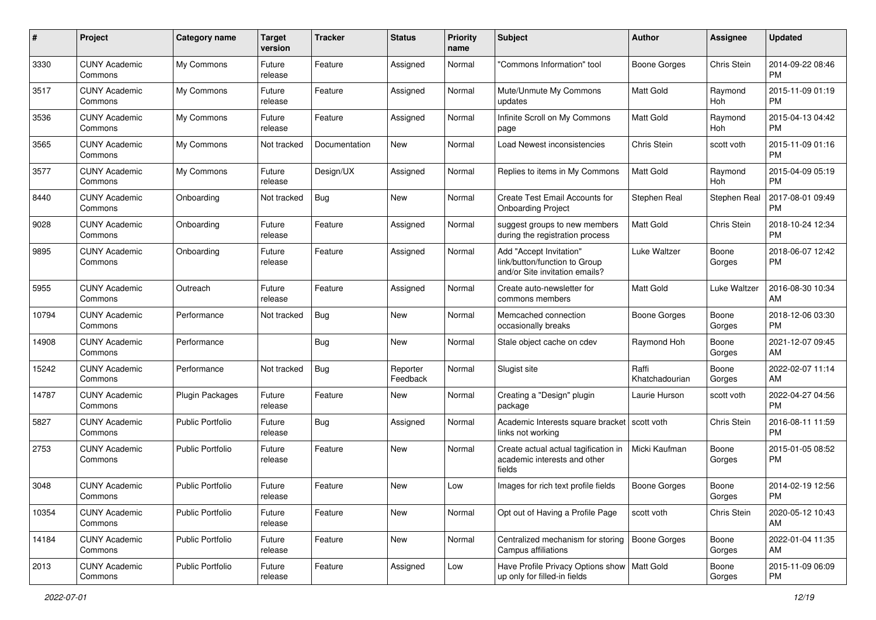| #     | Project                         | <b>Category name</b>    | <b>Target</b><br>version | <b>Tracker</b> | <b>Status</b>        | Priority<br>name | <b>Subject</b>                                                                             | <b>Author</b>           | <b>Assignee</b> | <b>Updated</b>                |
|-------|---------------------------------|-------------------------|--------------------------|----------------|----------------------|------------------|--------------------------------------------------------------------------------------------|-------------------------|-----------------|-------------------------------|
| 3330  | <b>CUNY Academic</b><br>Commons | My Commons              | Future<br>release        | Feature        | Assigned             | Normal           | 'Commons Information" tool                                                                 | <b>Boone Gorges</b>     | Chris Stein     | 2014-09-22 08:46<br>PM.       |
| 3517  | <b>CUNY Academic</b><br>Commons | My Commons              | Future<br>release        | Feature        | Assigned             | Normal           | Mute/Unmute My Commons<br>updates                                                          | <b>Matt Gold</b>        | Raymond<br>Hoh  | 2015-11-09 01:19<br><b>PM</b> |
| 3536  | <b>CUNY Academic</b><br>Commons | My Commons              | Future<br>release        | Feature        | Assigned             | Normal           | Infinite Scroll on My Commons<br>page                                                      | Matt Gold               | Raymond<br>Hoh  | 2015-04-13 04:42<br><b>PM</b> |
| 3565  | <b>CUNY Academic</b><br>Commons | My Commons              | Not tracked              | Documentation  | New                  | Normal           | Load Newest inconsistencies                                                                | Chris Stein             | scott voth      | 2015-11-09 01:16<br><b>PM</b> |
| 3577  | <b>CUNY Academic</b><br>Commons | My Commons              | Future<br>release        | Design/UX      | Assigned             | Normal           | Replies to items in My Commons                                                             | <b>Matt Gold</b>        | Raymond<br>Hoh  | 2015-04-09 05:19<br><b>PM</b> |
| 8440  | <b>CUNY Academic</b><br>Commons | Onboarding              | Not tracked              | Bug            | New                  | Normal           | Create Test Email Accounts for<br><b>Onboarding Project</b>                                | Stephen Real            | Stephen Real    | 2017-08-01 09:49<br><b>PM</b> |
| 9028  | <b>CUNY Academic</b><br>Commons | Onboarding              | Future<br>release        | Feature        | Assigned             | Normal           | suggest groups to new members<br>during the registration process                           | Matt Gold               | Chris Stein     | 2018-10-24 12:34<br><b>PM</b> |
| 9895  | <b>CUNY Academic</b><br>Commons | Onboarding              | Future<br>release        | Feature        | Assigned             | Normal           | Add "Accept Invitation"<br>link/button/function to Group<br>and/or Site invitation emails? | <b>Luke Waltzer</b>     | Boone<br>Gorges | 2018-06-07 12:42<br>PM        |
| 5955  | <b>CUNY Academic</b><br>Commons | Outreach                | Future<br>release        | Feature        | Assigned             | Normal           | Create auto-newsletter for<br>commons members                                              | <b>Matt Gold</b>        | Luke Waltzer    | 2016-08-30 10:34<br>AM.       |
| 10794 | <b>CUNY Academic</b><br>Commons | Performance             | Not tracked              | <b>Bug</b>     | New                  | Normal           | Memcached connection<br>occasionally breaks                                                | <b>Boone Gorges</b>     | Boone<br>Gorges | 2018-12-06 03:30<br><b>PM</b> |
| 14908 | <b>CUNY Academic</b><br>Commons | Performance             |                          | Bug            | New                  | Normal           | Stale object cache on cdev                                                                 | Raymond Hoh             | Boone<br>Gorges | 2021-12-07 09:45<br>AM        |
| 15242 | <b>CUNY Academic</b><br>Commons | Performance             | Not tracked              | Bug            | Reporter<br>Feedback | Normal           | Slugist site                                                                               | Raffi<br>Khatchadourian | Boone<br>Gorges | 2022-02-07 11:14<br>AM        |
| 14787 | <b>CUNY Academic</b><br>Commons | Plugin Packages         | Future<br>release        | Feature        | New                  | Normal           | Creating a "Design" plugin<br>package                                                      | Laurie Hurson           | scott voth      | 2022-04-27 04:56<br><b>PM</b> |
| 5827  | <b>CUNY Academic</b><br>Commons | <b>Public Portfolio</b> | Future<br>release        | Bug            | Assigned             | Normal           | Academic Interests square bracket   scott voth<br>links not working                        |                         | Chris Stein     | 2016-08-11 11:59<br><b>PM</b> |
| 2753  | <b>CUNY Academic</b><br>Commons | <b>Public Portfolio</b> | Future<br>release        | Feature        | New                  | Normal           | Create actual actual tagification in<br>academic interests and other<br>fields             | Micki Kaufman           | Boone<br>Gorges | 2015-01-05 08:52<br><b>PM</b> |
| 3048  | <b>CUNY Academic</b><br>Commons | <b>Public Portfolio</b> | Future<br>release        | Feature        | New                  | Low              | Images for rich text profile fields                                                        | Boone Gorges            | Boone<br>Gorges | 2014-02-19 12:56<br>PM        |
| 10354 | <b>CUNY Academic</b><br>Commons | <b>Public Portfolio</b> | Future<br>release        | Feature        | New                  | Normal           | Opt out of Having a Profile Page                                                           | scott voth              | Chris Stein     | 2020-05-12 10:43<br>AM        |
| 14184 | <b>CUNY Academic</b><br>Commons | Public Portfolio        | Future<br>release        | Feature        | New                  | Normal           | Centralized mechanism for storing<br>Campus affiliations                                   | <b>Boone Gorges</b>     | Boone<br>Gorges | 2022-01-04 11:35<br>AM        |
| 2013  | <b>CUNY Academic</b><br>Commons | Public Portfolio        | Future<br>release        | Feature        | Assigned             | Low              | Have Profile Privacy Options show   Matt Gold<br>up only for filled-in fields              |                         | Boone<br>Gorges | 2015-11-09 06:09<br><b>PM</b> |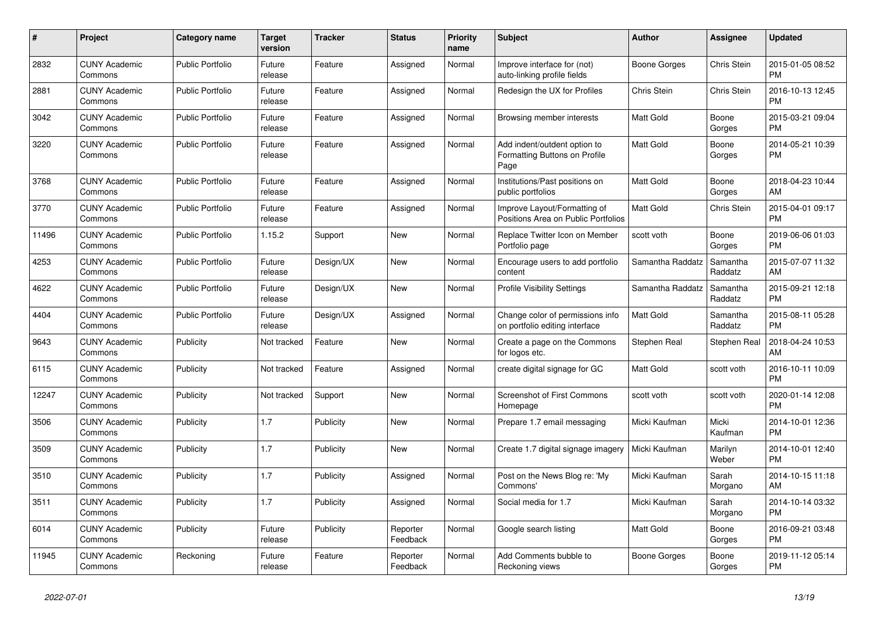| #     | Project                         | <b>Category name</b>    | <b>Target</b><br>version | <b>Tracker</b> | <b>Status</b>        | Priority<br>name | <b>Subject</b>                                                        | <b>Author</b>    | Assignee            | <b>Updated</b>                |
|-------|---------------------------------|-------------------------|--------------------------|----------------|----------------------|------------------|-----------------------------------------------------------------------|------------------|---------------------|-------------------------------|
| 2832  | <b>CUNY Academic</b><br>Commons | <b>Public Portfolio</b> | Future<br>release        | Feature        | Assigned             | Normal           | Improve interface for (not)<br>auto-linking profile fields            | Boone Gorges     | Chris Stein         | 2015-01-05 08:52<br><b>PM</b> |
| 2881  | <b>CUNY Academic</b><br>Commons | <b>Public Portfolio</b> | Future<br>release        | Feature        | Assigned             | Normal           | Redesign the UX for Profiles                                          | Chris Stein      | Chris Stein         | 2016-10-13 12:45<br><b>PM</b> |
| 3042  | <b>CUNY Academic</b><br>Commons | <b>Public Portfolio</b> | Future<br>release        | Feature        | Assigned             | Normal           | Browsing member interests                                             | <b>Matt Gold</b> | Boone<br>Gorges     | 2015-03-21 09:04<br><b>PM</b> |
| 3220  | <b>CUNY Academic</b><br>Commons | Public Portfolio        | Future<br>release        | Feature        | Assigned             | Normal           | Add indent/outdent option to<br>Formatting Buttons on Profile<br>Page | <b>Matt Gold</b> | Boone<br>Gorges     | 2014-05-21 10:39<br><b>PM</b> |
| 3768  | <b>CUNY Academic</b><br>Commons | <b>Public Portfolio</b> | Future<br>release        | Feature        | Assigned             | Normal           | Institutions/Past positions on<br>public portfolios                   | Matt Gold        | Boone<br>Gorges     | 2018-04-23 10:44<br>AM        |
| 3770  | <b>CUNY Academic</b><br>Commons | <b>Public Portfolio</b> | Future<br>release        | Feature        | Assigned             | Normal           | Improve Layout/Formatting of<br>Positions Area on Public Portfolios   | <b>Matt Gold</b> | <b>Chris Stein</b>  | 2015-04-01 09:17<br><b>PM</b> |
| 11496 | <b>CUNY Academic</b><br>Commons | <b>Public Portfolio</b> | 1.15.2                   | Support        | <b>New</b>           | Normal           | Replace Twitter Icon on Member<br>Portfolio page                      | scott voth       | Boone<br>Gorges     | 2019-06-06 01:03<br><b>PM</b> |
| 4253  | <b>CUNY Academic</b><br>Commons | <b>Public Portfolio</b> | Future<br>release        | Design/UX      | New                  | Normal           | Encourage users to add portfolio<br>content                           | Samantha Raddatz | Samantha<br>Raddatz | 2015-07-07 11:32<br>AM        |
| 4622  | <b>CUNY Academic</b><br>Commons | <b>Public Portfolio</b> | Future<br>release        | Design/UX      | <b>New</b>           | Normal           | <b>Profile Visibility Settings</b>                                    | Samantha Raddatz | Samantha<br>Raddatz | 2015-09-21 12:18<br><b>PM</b> |
| 4404  | <b>CUNY Academic</b><br>Commons | <b>Public Portfolio</b> | Future<br>release        | Design/UX      | Assigned             | Normal           | Change color of permissions info<br>on portfolio editing interface    | Matt Gold        | Samantha<br>Raddatz | 2015-08-11 05:28<br><b>PM</b> |
| 9643  | <b>CUNY Academic</b><br>Commons | Publicity               | Not tracked              | Feature        | New                  | Normal           | Create a page on the Commons<br>for logos etc.                        | Stephen Real     | Stephen Real        | 2018-04-24 10:53<br>AM        |
| 6115  | <b>CUNY Academic</b><br>Commons | Publicity               | Not tracked              | Feature        | Assigned             | Normal           | create digital signage for GC                                         | <b>Matt Gold</b> | scott voth          | 2016-10-11 10:09<br><b>PM</b> |
| 12247 | <b>CUNY Academic</b><br>Commons | Publicity               | Not tracked              | Support        | <b>New</b>           | Normal           | <b>Screenshot of First Commons</b><br>Homepage                        | scott voth       | scott voth          | 2020-01-14 12:08<br><b>PM</b> |
| 3506  | <b>CUNY Academic</b><br>Commons | Publicity               | 1.7                      | Publicity      | <b>New</b>           | Normal           | Prepare 1.7 email messaging                                           | Micki Kaufman    | Micki<br>Kaufman    | 2014-10-01 12:36<br><b>PM</b> |
| 3509  | <b>CUNY Academic</b><br>Commons | Publicity               | 1.7                      | Publicity      | <b>New</b>           | Normal           | Create 1.7 digital signage imagery                                    | Micki Kaufman    | Marilyn<br>Weber    | 2014-10-01 12:40<br><b>PM</b> |
| 3510  | <b>CUNY Academic</b><br>Commons | Publicity               | 1.7                      | Publicity      | Assigned             | Normal           | Post on the News Blog re: 'My<br>Commons'                             | Micki Kaufman    | Sarah<br>Morgano    | 2014-10-15 11:18<br>AM        |
| 3511  | <b>CUNY Academic</b><br>Commons | Publicity               | 1.7                      | Publicity      | Assigned             | Normal           | Social media for 1.7                                                  | Micki Kaufman    | Sarah<br>Morgano    | 2014-10-14 03:32<br><b>PM</b> |
| 6014  | <b>CUNY Academic</b><br>Commons | Publicity               | Future<br>release        | Publicity      | Reporter<br>Feedback | Normal           | Google search listing                                                 | Matt Gold        | Boone<br>Gorges     | 2016-09-21 03:48<br><b>PM</b> |
| 11945 | <b>CUNY Academic</b><br>Commons | Reckoning               | Future<br>release        | Feature        | Reporter<br>Feedback | Normal           | Add Comments bubble to<br>Reckoning views                             | Boone Gorges     | Boone<br>Gorges     | 2019-11-12 05:14<br><b>PM</b> |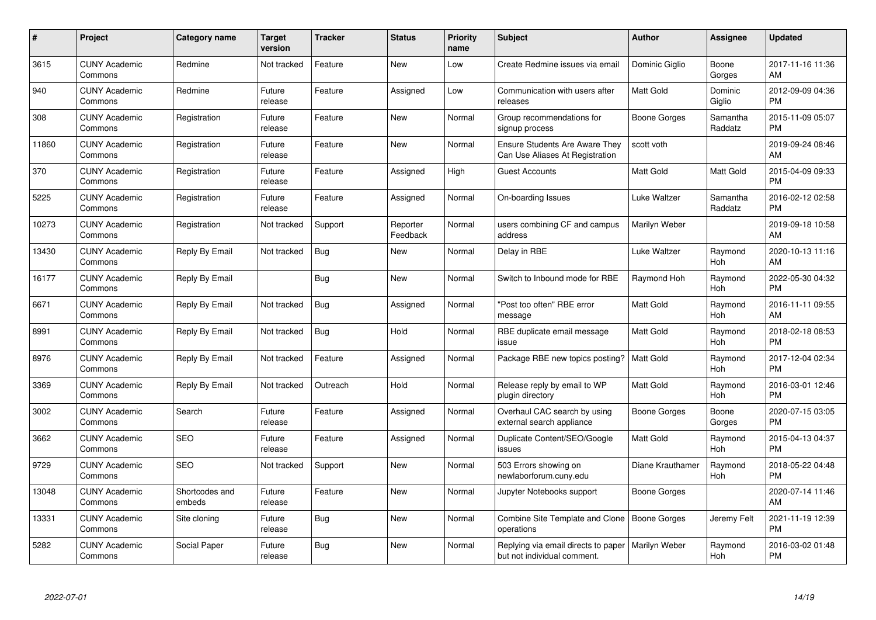| $\#$  | Project                         | <b>Category name</b>     | <b>Target</b><br>version | <b>Tracker</b> | <b>Status</b>        | Priority<br>name | <b>Subject</b>                                                           | <b>Author</b>    | <b>Assignee</b>     | <b>Updated</b>                |
|-------|---------------------------------|--------------------------|--------------------------|----------------|----------------------|------------------|--------------------------------------------------------------------------|------------------|---------------------|-------------------------------|
| 3615  | <b>CUNY Academic</b><br>Commons | Redmine                  | Not tracked              | Feature        | <b>New</b>           | Low              | Create Redmine issues via email                                          | Dominic Giglio   | Boone<br>Gorges     | 2017-11-16 11:36<br>AM        |
| 940   | CUNY Academic<br>Commons        | Redmine                  | Future<br>release        | Feature        | Assigned             | Low              | Communication with users after<br>releases                               | <b>Matt Gold</b> | Dominic<br>Giglio   | 2012-09-09 04:36<br><b>PM</b> |
| 308   | <b>CUNY Academic</b><br>Commons | Registration             | Future<br>release        | Feature        | <b>New</b>           | Normal           | Group recommendations for<br>signup process                              | Boone Gorges     | Samantha<br>Raddatz | 2015-11-09 05:07<br><b>PM</b> |
| 11860 | <b>CUNY Academic</b><br>Commons | Registration             | Future<br>release        | Feature        | <b>New</b>           | Normal           | <b>Ensure Students Are Aware They</b><br>Can Use Aliases At Registration | scott voth       |                     | 2019-09-24 08:46<br>AM        |
| 370   | <b>CUNY Academic</b><br>Commons | Registration             | Future<br>release        | Feature        | Assigned             | High             | <b>Guest Accounts</b>                                                    | <b>Matt Gold</b> | <b>Matt Gold</b>    | 2015-04-09 09:33<br><b>PM</b> |
| 5225  | <b>CUNY Academic</b><br>Commons | Registration             | Future<br>release        | Feature        | Assigned             | Normal           | On-boarding Issues                                                       | Luke Waltzer     | Samantha<br>Raddatz | 2016-02-12 02:58<br><b>PM</b> |
| 10273 | <b>CUNY Academic</b><br>Commons | Registration             | Not tracked              | Support        | Reporter<br>Feedback | Normal           | users combining CF and campus<br>address                                 | Marilyn Weber    |                     | 2019-09-18 10:58<br>AM        |
| 13430 | <b>CUNY Academic</b><br>Commons | Reply By Email           | Not tracked              | Bug            | <b>New</b>           | Normal           | Delay in RBE                                                             | Luke Waltzer     | Raymond<br>Hoh      | 2020-10-13 11:16<br>AM        |
| 16177 | <b>CUNY Academic</b><br>Commons | Reply By Email           |                          | <b>Bug</b>     | <b>New</b>           | Normal           | Switch to Inbound mode for RBE                                           | Raymond Hoh      | Raymond<br>Hoh      | 2022-05-30 04:32<br><b>PM</b> |
| 6671  | <b>CUNY Academic</b><br>Commons | Reply By Email           | Not tracked              | Bug            | Assigned             | Normal           | "Post too often" RBE error<br>message                                    | <b>Matt Gold</b> | Raymond<br>Hoh      | 2016-11-11 09:55<br>AM        |
| 8991  | <b>CUNY Academic</b><br>Commons | Reply By Email           | Not tracked              | Bug            | Hold                 | Normal           | RBE duplicate email message<br>issue                                     | Matt Gold        | Raymond<br>Hoh      | 2018-02-18 08:53<br><b>PM</b> |
| 8976  | <b>CUNY Academic</b><br>Commons | Reply By Email           | Not tracked              | Feature        | Assigned             | Normal           | Package RBE new topics posting?                                          | <b>Matt Gold</b> | Raymond<br>Hoh      | 2017-12-04 02:34<br><b>PM</b> |
| 3369  | <b>CUNY Academic</b><br>Commons | Reply By Email           | Not tracked              | Outreach       | Hold                 | Normal           | Release reply by email to WP<br>plugin directory                         | Matt Gold        | Raymond<br>Hoh      | 2016-03-01 12:46<br><b>PM</b> |
| 3002  | <b>CUNY Academic</b><br>Commons | Search                   | Future<br>release        | Feature        | Assigned             | Normal           | Overhaul CAC search by using<br>external search appliance                | Boone Gorges     | Boone<br>Gorges     | 2020-07-15 03:05<br><b>PM</b> |
| 3662  | <b>CUNY Academic</b><br>Commons | <b>SEO</b>               | Future<br>release        | Feature        | Assigned             | Normal           | Duplicate Content/SEO/Google<br>issues                                   | Matt Gold        | Raymond<br>Hoh      | 2015-04-13 04:37<br><b>PM</b> |
| 9729  | <b>CUNY Academic</b><br>Commons | <b>SEO</b>               | Not tracked              | Support        | <b>New</b>           | Normal           | 503 Errors showing on<br>newlaborforum.cuny.edu                          | Diane Krauthamer | Raymond<br>Hoh      | 2018-05-22 04:48<br><b>PM</b> |
| 13048 | <b>CUNY Academic</b><br>Commons | Shortcodes and<br>embeds | Future<br>release        | Feature        | <b>New</b>           | Normal           | Jupyter Notebooks support                                                | Boone Gorges     |                     | 2020-07-14 11:46<br>AM        |
| 13331 | <b>CUNY Academic</b><br>Commons | Site cloning             | Future<br>release        | Bug            | New                  | Normal           | Combine Site Template and Clone<br>operations                            | Boone Gorges     | Jeremy Felt         | 2021-11-19 12:39<br><b>PM</b> |
| 5282  | <b>CUNY Academic</b><br>Commons | Social Paper             | Future<br>release        | <b>Bug</b>     | New                  | Normal           | Replying via email directs to paper<br>but not individual comment.       | Marilyn Weber    | Raymond<br>Hoh      | 2016-03-02 01:48<br><b>PM</b> |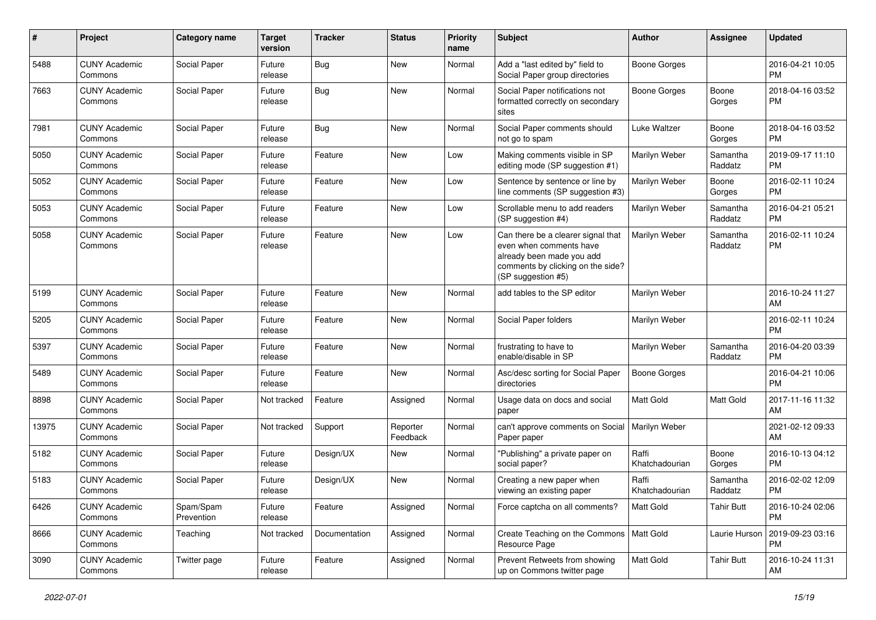| #     | Project                         | <b>Category name</b>    | <b>Target</b><br>version | <b>Tracker</b> | <b>Status</b>        | Priority<br>name | <b>Subject</b>                                                                                                                                        | Author                  | <b>Assignee</b>     | <b>Updated</b>                |
|-------|---------------------------------|-------------------------|--------------------------|----------------|----------------------|------------------|-------------------------------------------------------------------------------------------------------------------------------------------------------|-------------------------|---------------------|-------------------------------|
| 5488  | <b>CUNY Academic</b><br>Commons | Social Paper            | Future<br>release        | <b>Bug</b>     | <b>New</b>           | Normal           | Add a "last edited by" field to<br>Social Paper group directories                                                                                     | <b>Boone Gorges</b>     |                     | 2016-04-21 10:05<br><b>PM</b> |
| 7663  | <b>CUNY Academic</b><br>Commons | Social Paper            | Future<br>release        | Bug            | New                  | Normal           | Social Paper notifications not<br>formatted correctly on secondary<br>sites                                                                           | <b>Boone Gorges</b>     | Boone<br>Gorges     | 2018-04-16 03:52<br><b>PM</b> |
| 7981  | <b>CUNY Academic</b><br>Commons | Social Paper            | Future<br>release        | Bug            | New                  | Normal           | Social Paper comments should<br>not go to spam                                                                                                        | Luke Waltzer            | Boone<br>Gorges     | 2018-04-16 03:52<br><b>PM</b> |
| 5050  | <b>CUNY Academic</b><br>Commons | Social Paper            | Future<br>release        | Feature        | <b>New</b>           | Low              | Making comments visible in SP<br>editing mode (SP suggestion #1)                                                                                      | Marilyn Weber           | Samantha<br>Raddatz | 2019-09-17 11:10<br><b>PM</b> |
| 5052  | <b>CUNY Academic</b><br>Commons | Social Paper            | Future<br>release        | Feature        | <b>New</b>           | Low              | Sentence by sentence or line by<br>line comments (SP suggestion #3)                                                                                   | Marilyn Weber           | Boone<br>Gorges     | 2016-02-11 10:24<br><b>PM</b> |
| 5053  | <b>CUNY Academic</b><br>Commons | Social Paper            | Future<br>release        | Feature        | <b>New</b>           | Low              | Scrollable menu to add readers<br>(SP suggestion #4)                                                                                                  | Marilyn Weber           | Samantha<br>Raddatz | 2016-04-21 05:21<br><b>PM</b> |
| 5058  | <b>CUNY Academic</b><br>Commons | Social Paper            | Future<br>release        | Feature        | New                  | Low              | Can there be a clearer signal that<br>even when comments have<br>already been made you add<br>comments by clicking on the side?<br>(SP suggestion #5) | Marilyn Weber           | Samantha<br>Raddatz | 2016-02-11 10:24<br><b>PM</b> |
| 5199  | <b>CUNY Academic</b><br>Commons | Social Paper            | Future<br>release        | Feature        | <b>New</b>           | Normal           | add tables to the SP editor                                                                                                                           | Marilyn Weber           |                     | 2016-10-24 11:27<br>AM        |
| 5205  | <b>CUNY Academic</b><br>Commons | Social Paper            | Future<br>release        | Feature        | <b>New</b>           | Normal           | Social Paper folders                                                                                                                                  | Marilyn Weber           |                     | 2016-02-11 10:24<br><b>PM</b> |
| 5397  | <b>CUNY Academic</b><br>Commons | Social Paper            | Future<br>release        | Feature        | <b>New</b>           | Normal           | frustrating to have to<br>enable/disable in SP                                                                                                        | Marilyn Weber           | Samantha<br>Raddatz | 2016-04-20 03:39<br><b>PM</b> |
| 5489  | <b>CUNY Academic</b><br>Commons | Social Paper            | Future<br>release        | Feature        | New                  | Normal           | Asc/desc sorting for Social Paper<br>directories                                                                                                      | <b>Boone Gorges</b>     |                     | 2016-04-21 10:06<br><b>PM</b> |
| 8898  | <b>CUNY Academic</b><br>Commons | Social Paper            | Not tracked              | Feature        | Assigned             | Normal           | Usage data on docs and social<br>paper                                                                                                                | Matt Gold               | Matt Gold           | 2017-11-16 11:32<br>AM        |
| 13975 | <b>CUNY Academic</b><br>Commons | Social Paper            | Not tracked              | Support        | Reporter<br>Feedback | Normal           | can't approve comments on Social<br>Paper paper                                                                                                       | Marilyn Weber           |                     | 2021-02-12 09:33<br>AM        |
| 5182  | <b>CUNY Academic</b><br>Commons | Social Paper            | Future<br>release        | Design/UX      | New                  | Normal           | "Publishing" a private paper on<br>social paper?                                                                                                      | Raffi<br>Khatchadourian | Boone<br>Gorges     | 2016-10-13 04:12<br><b>PM</b> |
| 5183  | <b>CUNY Academic</b><br>Commons | Social Paper            | Future<br>release        | Design/UX      | <b>New</b>           | Normal           | Creating a new paper when<br>viewing an existing paper                                                                                                | Raffi<br>Khatchadourian | Samantha<br>Raddatz | 2016-02-02 12:09<br><b>PM</b> |
| 6426  | <b>CUNY Academic</b><br>Commons | Spam/Spam<br>Prevention | Future<br>release        | Feature        | Assigned             | Normal           | Force captcha on all comments?                                                                                                                        | <b>Matt Gold</b>        | <b>Tahir Butt</b>   | 2016-10-24 02:06<br><b>PM</b> |
| 8666  | <b>CUNY Academic</b><br>Commons | Teaching                | Not tracked              | Documentation  | Assigned             | Normal           | Create Teaching on the Commons   Matt Gold<br>Resource Page                                                                                           |                         | Laurie Hurson       | 2019-09-23 03:16<br><b>PM</b> |
| 3090  | <b>CUNY Academic</b><br>Commons | Twitter page            | Future<br>release        | Feature        | Assigned             | Normal           | Prevent Retweets from showing<br>up on Commons twitter page                                                                                           | Matt Gold               | <b>Tahir Butt</b>   | 2016-10-24 11:31<br>AM        |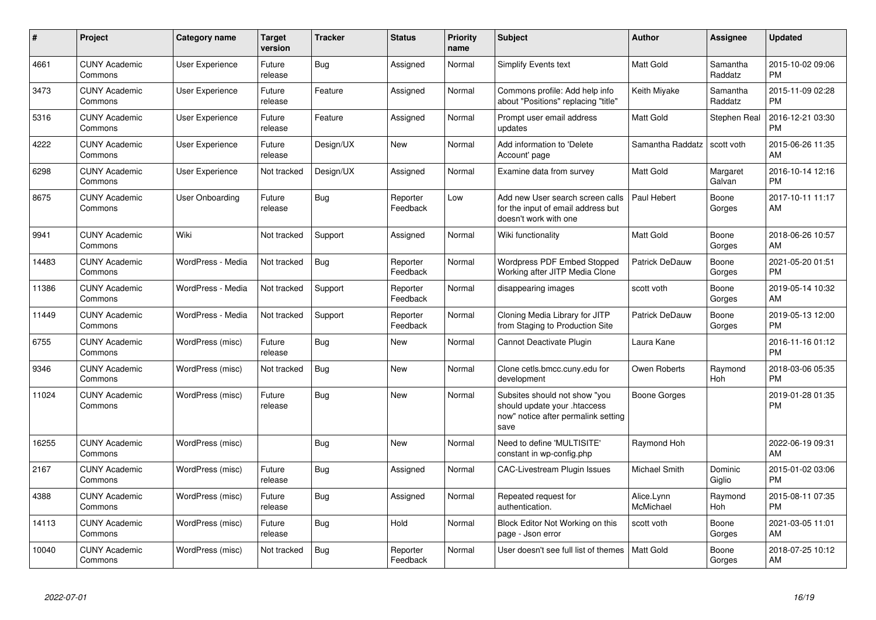| #     | <b>Project</b>                  | Category name          | <b>Target</b><br>version | <b>Tracker</b> | <b>Status</b>        | <b>Priority</b><br>name | <b>Subject</b>                                                                                               | <b>Author</b>           | Assignee              | <b>Updated</b>                |
|-------|---------------------------------|------------------------|--------------------------|----------------|----------------------|-------------------------|--------------------------------------------------------------------------------------------------------------|-------------------------|-----------------------|-------------------------------|
| 4661  | <b>CUNY Academic</b><br>Commons | <b>User Experience</b> | Future<br>release        | Bug            | Assigned             | Normal                  | <b>Simplify Events text</b>                                                                                  | <b>Matt Gold</b>        | Samantha<br>Raddatz   | 2015-10-02 09:06<br><b>PM</b> |
| 3473  | <b>CUNY Academic</b><br>Commons | <b>User Experience</b> | Future<br>release        | Feature        | Assigned             | Normal                  | Commons profile: Add help info<br>about "Positions" replacing "title"                                        | Keith Miyake            | Samantha<br>Raddatz   | 2015-11-09 02:28<br><b>PM</b> |
| 5316  | <b>CUNY Academic</b><br>Commons | <b>User Experience</b> | Future<br>release        | Feature        | Assigned             | Normal                  | Prompt user email address<br>updates                                                                         | <b>Matt Gold</b>        | Stephen Real          | 2016-12-21 03:30<br><b>PM</b> |
| 4222  | <b>CUNY Academic</b><br>Commons | <b>User Experience</b> | Future<br>release        | Design/UX      | New                  | Normal                  | Add information to 'Delete<br>Account' page                                                                  | Samantha Raddatz        | scott voth            | 2015-06-26 11:35<br>AM        |
| 6298  | <b>CUNY Academic</b><br>Commons | User Experience        | Not tracked              | Design/UX      | Assigned             | Normal                  | Examine data from survey                                                                                     | <b>Matt Gold</b>        | Margaret<br>Galvan    | 2016-10-14 12:16<br><b>PM</b> |
| 8675  | <b>CUNY Academic</b><br>Commons | User Onboarding        | Future<br>release        | Bug            | Reporter<br>Feedback | Low                     | Add new User search screen calls<br>for the input of email address but<br>doesn't work with one              | Paul Hebert             | Boone<br>Gorges       | 2017-10-11 11:17<br>AM        |
| 9941  | <b>CUNY Academic</b><br>Commons | Wiki                   | Not tracked              | Support        | Assigned             | Normal                  | Wiki functionality                                                                                           | <b>Matt Gold</b>        | Boone<br>Gorges       | 2018-06-26 10:57<br>AM        |
| 14483 | <b>CUNY Academic</b><br>Commons | WordPress - Media      | Not tracked              | Bug            | Reporter<br>Feedback | Normal                  | <b>Wordpress PDF Embed Stopped</b><br>Working after JITP Media Clone                                         | Patrick DeDauw          | Boone<br>Gorges       | 2021-05-20 01:51<br><b>PM</b> |
| 11386 | <b>CUNY Academic</b><br>Commons | WordPress - Media      | Not tracked              | Support        | Reporter<br>Feedback | Normal                  | disappearing images                                                                                          | scott voth              | Boone<br>Gorges       | 2019-05-14 10:32<br>AM        |
| 11449 | <b>CUNY Academic</b><br>Commons | WordPress - Media      | Not tracked              | Support        | Reporter<br>Feedback | Normal                  | Cloning Media Library for JITP<br>from Staging to Production Site                                            | <b>Patrick DeDauw</b>   | Boone<br>Gorges       | 2019-05-13 12:00<br><b>PM</b> |
| 6755  | <b>CUNY Academic</b><br>Commons | WordPress (misc)       | Future<br>release        | Bug            | New                  | Normal                  | Cannot Deactivate Plugin                                                                                     | Laura Kane              |                       | 2016-11-16 01:12<br><b>PM</b> |
| 9346  | <b>CUNY Academic</b><br>Commons | WordPress (misc)       | Not tracked              | Bug            | <b>New</b>           | Normal                  | Clone cetls.bmcc.cuny.edu for<br>development                                                                 | Owen Roberts            | Raymond<br><b>Hoh</b> | 2018-03-06 05:35<br><b>PM</b> |
| 11024 | <b>CUNY Academic</b><br>Commons | WordPress (misc)       | Future<br>release        | Bug            | <b>New</b>           | Normal                  | Subsites should not show "you<br>should update your .htaccess<br>now" notice after permalink setting<br>save | Boone Gorges            |                       | 2019-01-28 01:35<br><b>PM</b> |
| 16255 | <b>CUNY Academic</b><br>Commons | WordPress (misc)       |                          | <b>Bug</b>     | <b>New</b>           | Normal                  | Need to define 'MULTISITE'<br>constant in wp-config.php                                                      | Raymond Hoh             |                       | 2022-06-19 09:31<br>AM        |
| 2167  | <b>CUNY Academic</b><br>Commons | WordPress (misc)       | Future<br>release        | Bug            | Assigned             | Normal                  | <b>CAC-Livestream Plugin Issues</b>                                                                          | <b>Michael Smith</b>    | Dominic<br>Giglio     | 2015-01-02 03:06<br><b>PM</b> |
| 4388  | <b>CUNY Academic</b><br>Commons | WordPress (misc)       | Future<br>release        | Bug            | Assigned             | Normal                  | Repeated request for<br>authentication.                                                                      | Alice.Lynn<br>McMichael | Raymond<br>Hoh        | 2015-08-11 07:35<br><b>PM</b> |
| 14113 | <b>CUNY Academic</b><br>Commons | WordPress (misc)       | Future<br>release        | Bug            | Hold                 | Normal                  | Block Editor Not Working on this<br>page - Json error                                                        | scott voth              | Boone<br>Gorges       | 2021-03-05 11:01<br>AM        |
| 10040 | <b>CUNY Academic</b><br>Commons | WordPress (misc)       | Not tracked              | Bug            | Reporter<br>Feedback | Normal                  | User doesn't see full list of themes                                                                         | <b>Matt Gold</b>        | Boone<br>Gorges       | 2018-07-25 10:12<br>AM        |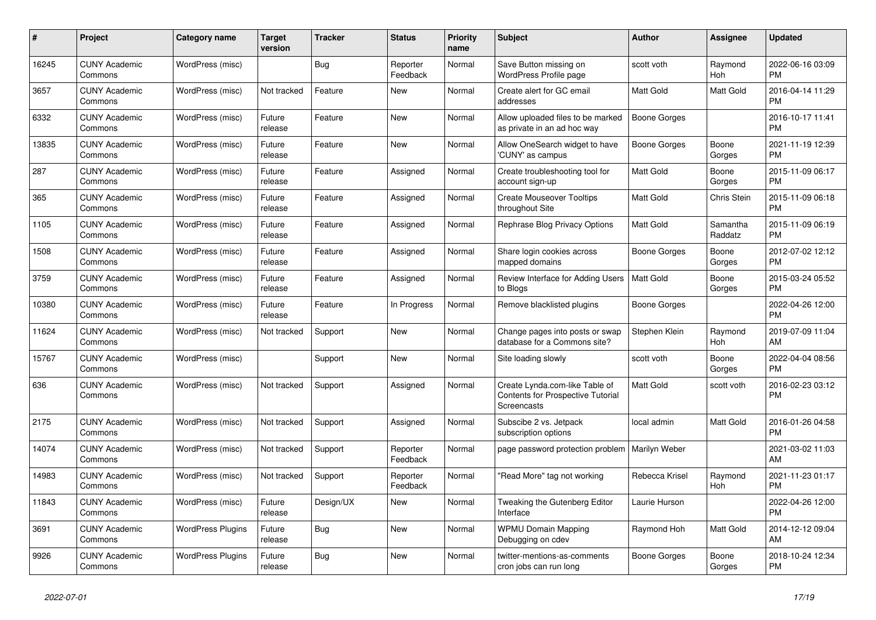| #     | Project                         | <b>Category name</b>     | <b>Target</b><br>version | <b>Tracker</b> | <b>Status</b>        | <b>Priority</b><br>name | <b>Subject</b>                                                                            | <b>Author</b>    | Assignee            | <b>Updated</b>                |
|-------|---------------------------------|--------------------------|--------------------------|----------------|----------------------|-------------------------|-------------------------------------------------------------------------------------------|------------------|---------------------|-------------------------------|
| 16245 | <b>CUNY Academic</b><br>Commons | WordPress (misc)         |                          | <b>Bug</b>     | Reporter<br>Feedback | Normal                  | Save Button missing on<br><b>WordPress Profile page</b>                                   | scott voth       | Raymond<br>Hoh      | 2022-06-16 03:09<br><b>PM</b> |
| 3657  | <b>CUNY Academic</b><br>Commons | WordPress (misc)         | Not tracked              | Feature        | New                  | Normal                  | Create alert for GC email<br>addresses                                                    | Matt Gold        | Matt Gold           | 2016-04-14 11:29<br><b>PM</b> |
| 6332  | <b>CUNY Academic</b><br>Commons | WordPress (misc)         | Future<br>release        | Feature        | New                  | Normal                  | Allow uploaded files to be marked<br>as private in an ad hoc way                          | Boone Gorges     |                     | 2016-10-17 11:41<br><b>PM</b> |
| 13835 | <b>CUNY Academic</b><br>Commons | WordPress (misc)         | Future<br>release        | Feature        | <b>New</b>           | Normal                  | Allow OneSearch widget to have<br>'CUNY' as campus                                        | Boone Gorges     | Boone<br>Gorges     | 2021-11-19 12:39<br><b>PM</b> |
| 287   | <b>CUNY Academic</b><br>Commons | WordPress (misc)         | Future<br>release        | Feature        | Assigned             | Normal                  | Create troubleshooting tool for<br>account sign-up                                        | Matt Gold        | Boone<br>Gorges     | 2015-11-09 06:17<br><b>PM</b> |
| 365   | <b>CUNY Academic</b><br>Commons | WordPress (misc)         | Future<br>release        | Feature        | Assigned             | Normal                  | <b>Create Mouseover Tooltips</b><br>throughout Site                                       | Matt Gold        | Chris Stein         | 2015-11-09 06:18<br><b>PM</b> |
| 1105  | <b>CUNY Academic</b><br>Commons | WordPress (misc)         | Future<br>release        | Feature        | Assigned             | Normal                  | Rephrase Blog Privacy Options                                                             | <b>Matt Gold</b> | Samantha<br>Raddatz | 2015-11-09 06:19<br><b>PM</b> |
| 1508  | <b>CUNY Academic</b><br>Commons | WordPress (misc)         | Future<br>release        | Feature        | Assigned             | Normal                  | Share login cookies across<br>mapped domains                                              | Boone Gorges     | Boone<br>Gorges     | 2012-07-02 12:12<br><b>PM</b> |
| 3759  | <b>CUNY Academic</b><br>Commons | WordPress (misc)         | Future<br>release        | Feature        | Assigned             | Normal                  | Review Interface for Adding Users<br>to Blogs                                             | <b>Matt Gold</b> | Boone<br>Gorges     | 2015-03-24 05:52<br><b>PM</b> |
| 10380 | <b>CUNY Academic</b><br>Commons | WordPress (misc)         | Future<br>release        | Feature        | In Progress          | Normal                  | Remove blacklisted plugins                                                                | Boone Gorges     |                     | 2022-04-26 12:00<br><b>PM</b> |
| 11624 | <b>CUNY Academic</b><br>Commons | WordPress (misc)         | Not tracked              | Support        | <b>New</b>           | Normal                  | Change pages into posts or swap<br>database for a Commons site?                           | Stephen Klein    | Raymond<br>Hoh      | 2019-07-09 11:04<br>AM        |
| 15767 | <b>CUNY Academic</b><br>Commons | WordPress (misc)         |                          | Support        | New                  | Normal                  | Site loading slowly                                                                       | scott voth       | Boone<br>Gorges     | 2022-04-04 08:56<br><b>PM</b> |
| 636   | <b>CUNY Academic</b><br>Commons | WordPress (misc)         | Not tracked              | Support        | Assigned             | Normal                  | Create Lynda.com-like Table of<br><b>Contents for Prospective Tutorial</b><br>Screencasts | <b>Matt Gold</b> | scott voth          | 2016-02-23 03:12<br><b>PM</b> |
| 2175  | <b>CUNY Academic</b><br>Commons | WordPress (misc)         | Not tracked              | Support        | Assigned             | Normal                  | Subscibe 2 vs. Jetpack<br>subscription options                                            | local admin      | Matt Gold           | 2016-01-26 04:58<br><b>PM</b> |
| 14074 | <b>CUNY Academic</b><br>Commons | WordPress (misc)         | Not tracked              | Support        | Reporter<br>Feedback | Normal                  | page password protection problem                                                          | Marilyn Weber    |                     | 2021-03-02 11:03<br>AM        |
| 14983 | <b>CUNY Academic</b><br>Commons | WordPress (misc)         | Not tracked              | Support        | Reporter<br>Feedback | Normal                  | "Read More" tag not working                                                               | Rebecca Krisel   | Raymond<br>Hoh      | 2021-11-23 01:17<br><b>PM</b> |
| 11843 | <b>CUNY Academic</b><br>Commons | WordPress (misc)         | Future<br>release        | Design/UX      | New                  | Normal                  | Tweaking the Gutenberg Editor<br>Interface                                                | Laurie Hurson    |                     | 2022-04-26 12:00<br><b>PM</b> |
| 3691  | <b>CUNY Academic</b><br>Commons | <b>WordPress Plugins</b> | Future<br>release        | Bug            | New                  | Normal                  | <b>WPMU Domain Mapping</b><br>Debugging on cdev                                           | Raymond Hoh      | Matt Gold           | 2014-12-12 09:04<br>AM        |
| 9926  | <b>CUNY Academic</b><br>Commons | <b>WordPress Plugins</b> | Future<br>release        | <b>Bug</b>     | <b>New</b>           | Normal                  | twitter-mentions-as-comments<br>cron jobs can run long                                    | Boone Gorges     | Boone<br>Gorges     | 2018-10-24 12:34<br><b>PM</b> |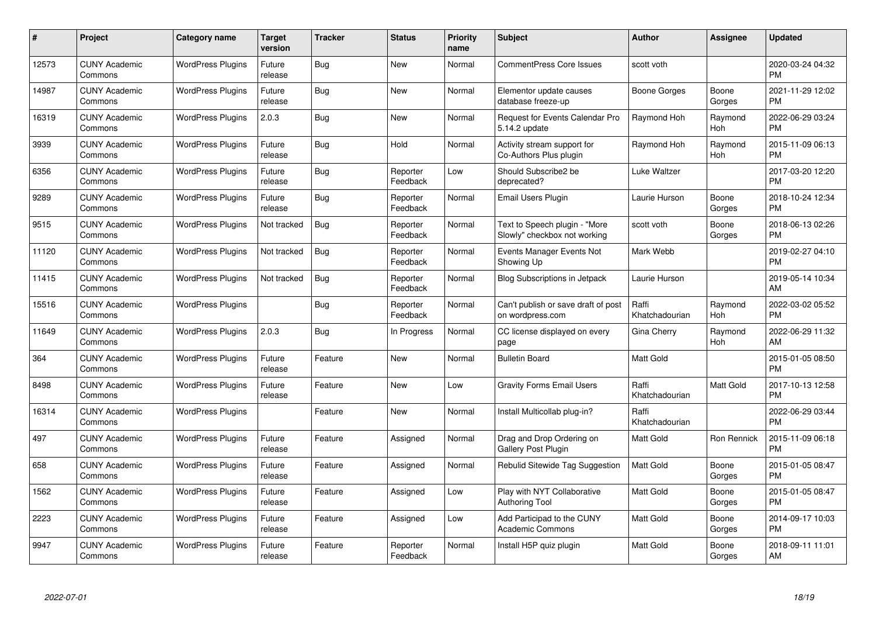| #     | Project                         | <b>Category name</b>     | <b>Target</b><br>version | <b>Tracker</b> | <b>Status</b>        | Priority<br>name | <b>Subject</b>                                                | <b>Author</b>           | <b>Assignee</b> | <b>Updated</b>                |
|-------|---------------------------------|--------------------------|--------------------------|----------------|----------------------|------------------|---------------------------------------------------------------|-------------------------|-----------------|-------------------------------|
| 12573 | <b>CUNY Academic</b><br>Commons | <b>WordPress Plugins</b> | Future<br>release        | Bug            | <b>New</b>           | Normal           | <b>CommentPress Core Issues</b>                               | scott voth              |                 | 2020-03-24 04:32<br><b>PM</b> |
| 14987 | <b>CUNY Academic</b><br>Commons | <b>WordPress Plugins</b> | Future<br>release        | <b>Bug</b>     | <b>New</b>           | Normal           | Elementor update causes<br>database freeze-up                 | Boone Gorges            | Boone<br>Gorges | 2021-11-29 12:02<br><b>PM</b> |
| 16319 | <b>CUNY Academic</b><br>Commons | <b>WordPress Plugins</b> | 2.0.3                    | Bug            | <b>New</b>           | Normal           | <b>Request for Events Calendar Pro</b><br>5.14.2 update       | Raymond Hoh             | Raymond<br>Hoh  | 2022-06-29 03:24<br><b>PM</b> |
| 3939  | <b>CUNY Academic</b><br>Commons | <b>WordPress Plugins</b> | Future<br>release        | Bug            | Hold                 | Normal           | Activity stream support for<br>Co-Authors Plus plugin         | Raymond Hoh             | Raymond<br>Hoh  | 2015-11-09 06:13<br><b>PM</b> |
| 6356  | <b>CUNY Academic</b><br>Commons | <b>WordPress Plugins</b> | Future<br>release        | Bug            | Reporter<br>Feedback | Low              | Should Subscribe2 be<br>deprecated?                           | Luke Waltzer            |                 | 2017-03-20 12:20<br><b>PM</b> |
| 9289  | <b>CUNY Academic</b><br>Commons | <b>WordPress Plugins</b> | Future<br>release        | <b>Bug</b>     | Reporter<br>Feedback | Normal           | Email Users Plugin                                            | Laurie Hurson           | Boone<br>Gorges | 2018-10-24 12:34<br><b>PM</b> |
| 9515  | <b>CUNY Academic</b><br>Commons | <b>WordPress Plugins</b> | Not tracked              | Bug            | Reporter<br>Feedback | Normal           | Text to Speech plugin - "More<br>Slowly" checkbox not working | scott voth              | Boone<br>Gorges | 2018-06-13 02:26<br><b>PM</b> |
| 11120 | <b>CUNY Academic</b><br>Commons | <b>WordPress Plugins</b> | Not tracked              | Bug            | Reporter<br>Feedback | Normal           | Events Manager Events Not<br>Showing Up                       | Mark Webb               |                 | 2019-02-27 04:10<br><b>PM</b> |
| 11415 | <b>CUNY Academic</b><br>Commons | <b>WordPress Plugins</b> | Not tracked              | Bug            | Reporter<br>Feedback | Normal           | Blog Subscriptions in Jetpack                                 | Laurie Hurson           |                 | 2019-05-14 10:34<br>AM        |
| 15516 | <b>CUNY Academic</b><br>Commons | <b>WordPress Plugins</b> |                          | Bug            | Reporter<br>Feedback | Normal           | Can't publish or save draft of post<br>on wordpress.com       | Raffi<br>Khatchadourian | Raymond<br>Hoh  | 2022-03-02 05:52<br><b>PM</b> |
| 11649 | <b>CUNY Academic</b><br>Commons | <b>WordPress Plugins</b> | 2.0.3                    | Bug            | In Progress          | Normal           | CC license displayed on every<br>page                         | Gina Cherry             | Raymond<br>Hoh  | 2022-06-29 11:32<br>AM        |
| 364   | <b>CUNY Academic</b><br>Commons | <b>WordPress Plugins</b> | Future<br>release        | Feature        | New                  | Normal           | <b>Bulletin Board</b>                                         | Matt Gold               |                 | 2015-01-05 08:50<br><b>PM</b> |
| 8498  | <b>CUNY Academic</b><br>Commons | <b>WordPress Plugins</b> | Future<br>release        | Feature        | <b>New</b>           | Low              | <b>Gravity Forms Email Users</b>                              | Raffi<br>Khatchadourian | Matt Gold       | 2017-10-13 12:58<br><b>PM</b> |
| 16314 | <b>CUNY Academic</b><br>Commons | <b>WordPress Plugins</b> |                          | Feature        | New                  | Normal           | Install Multicollab plug-in?                                  | Raffi<br>Khatchadourian |                 | 2022-06-29 03:44<br><b>PM</b> |
| 497   | <b>CUNY Academic</b><br>Commons | <b>WordPress Plugins</b> | Future<br>release        | Feature        | Assigned             | Normal           | Drag and Drop Ordering on<br><b>Gallery Post Plugin</b>       | Matt Gold               | Ron Rennick     | 2015-11-09 06:18<br><b>PM</b> |
| 658   | <b>CUNY Academic</b><br>Commons | <b>WordPress Plugins</b> | Future<br>release        | Feature        | Assigned             | Normal           | Rebulid Sitewide Tag Suggestion                               | <b>Matt Gold</b>        | Boone<br>Gorges | 2015-01-05 08:47<br><b>PM</b> |
| 1562  | <b>CUNY Academic</b><br>Commons | <b>WordPress Plugins</b> | Future<br>release        | Feature        | Assigned             | Low              | Play with NYT Collaborative<br>Authoring Tool                 | <b>Matt Gold</b>        | Boone<br>Gorges | 2015-01-05 08:47<br><b>PM</b> |
| 2223  | <b>CUNY Academic</b><br>Commons | <b>WordPress Plugins</b> | Future<br>release        | Feature        | Assigned             | Low              | Add Participad to the CUNY<br><b>Academic Commons</b>         | <b>Matt Gold</b>        | Boone<br>Gorges | 2014-09-17 10:03<br><b>PM</b> |
| 9947  | CUNY Academic<br>Commons        | <b>WordPress Plugins</b> | Future<br>release        | Feature        | Reporter<br>Feedback | Normal           | Install H5P quiz plugin                                       | <b>Matt Gold</b>        | Boone<br>Gorges | 2018-09-11 11:01<br>AM        |